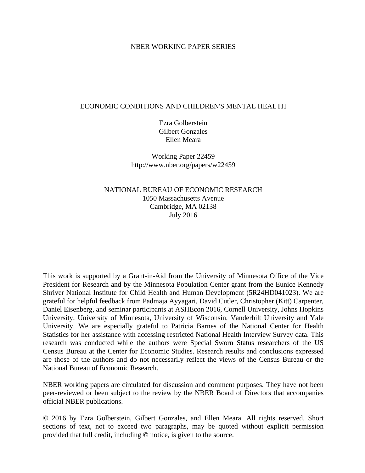## NBER WORKING PAPER SERIES

#### ECONOMIC CONDITIONS AND CHILDREN'S MENTAL HEALTH

Ezra Golberstein Gilbert Gonzales Ellen Meara

Working Paper 22459 http://www.nber.org/papers/w22459

NATIONAL BUREAU OF ECONOMIC RESEARCH 1050 Massachusetts Avenue Cambridge, MA 02138 July 2016

This work is supported by a Grant-in-Aid from the University of Minnesota Office of the Vice President for Research and by the Minnesota Population Center grant from the Eunice Kennedy Shriver National Institute for Child Health and Human Development (5R24HD041023). We are grateful for helpful feedback from Padmaja Ayyagari, David Cutler, Christopher (Kitt) Carpenter, Daniel Eisenberg, and seminar participants at ASHEcon 2016, Cornell University, Johns Hopkins University, University of Minnesota, University of Wisconsin, Vanderbilt University and Yale University. We are especially grateful to Patricia Barnes of the National Center for Health Statistics for her assistance with accessing restricted National Health Interview Survey data. This research was conducted while the authors were Special Sworn Status researchers of the US Census Bureau at the Center for Economic Studies. Research results and conclusions expressed are those of the authors and do not necessarily reflect the views of the Census Bureau or the National Bureau of Economic Research.

NBER working papers are circulated for discussion and comment purposes. They have not been peer-reviewed or been subject to the review by the NBER Board of Directors that accompanies official NBER publications.

© 2016 by Ezra Golberstein, Gilbert Gonzales, and Ellen Meara. All rights reserved. Short sections of text, not to exceed two paragraphs, may be quoted without explicit permission provided that full credit, including © notice, is given to the source.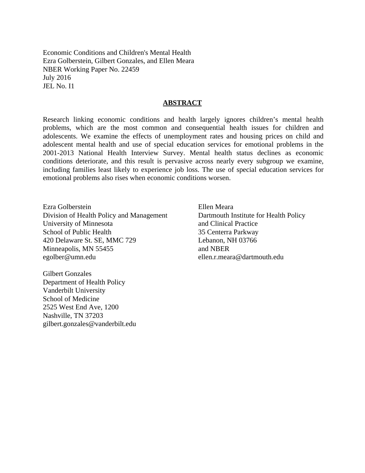Economic Conditions and Children's Mental Health Ezra Golberstein, Gilbert Gonzales, and Ellen Meara NBER Working Paper No. 22459 July 2016 JEL No. I1

## **ABSTRACT**

Research linking economic conditions and health largely ignores children's mental health problems, which are the most common and consequential health issues for children and adolescents. We examine the effects of unemployment rates and housing prices on child and adolescent mental health and use of special education services for emotional problems in the 2001-2013 National Health Interview Survey. Mental health status declines as economic conditions deteriorate, and this result is pervasive across nearly every subgroup we examine, including families least likely to experience job loss. The use of special education services for emotional problems also rises when economic conditions worsen.

Ezra Golberstein Division of Health Policy and Management University of Minnesota School of Public Health 420 Delaware St. SE, MMC 729 Minneapolis, MN 55455 egolber@umn.edu

Gilbert Gonzales Department of Health Policy Vanderbilt University School of Medicine 2525 West End Ave, 1200 Nashville, TN 37203 gilbert.gonzales@vanderbilt.edu

Ellen Meara Dartmouth Institute for Health Policy and Clinical Practice 35 Centerra Parkway Lebanon, NH 03766 and NBER ellen.r.meara@dartmouth.edu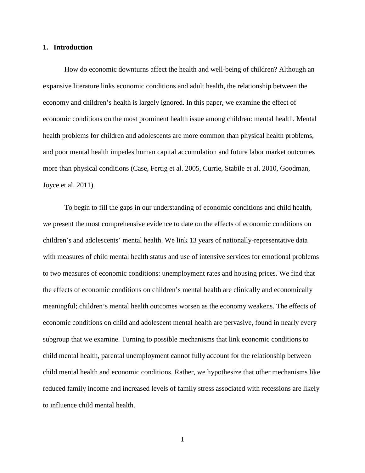#### **1. Introduction**

How do economic downturns affect the health and well-being of children? Although an expansive literature links economic conditions and adult health, the relationship between the economy and children's health is largely ignored. In this paper, we examine the effect of economic conditions on the most prominent health issue among children: mental health. Mental health problems for children and adolescents are more common than physical health problems, and poor mental health impedes human capital accumulation and future labor market outcomes more than physical conditions (Case, Fertig et al. 2005, Currie, Stabile et al. 2010, Goodman, Joyce et al. 2011).

To begin to fill the gaps in our understanding of economic conditions and child health, we present the most comprehensive evidence to date on the effects of economic conditions on children's and adolescents' mental health. We link 13 years of nationally-representative data with measures of child mental health status and use of intensive services for emotional problems to two measures of economic conditions: unemployment rates and housing prices. We find that the effects of economic conditions on children's mental health are clinically and economically meaningful; children's mental health outcomes worsen as the economy weakens. The effects of economic conditions on child and adolescent mental health are pervasive, found in nearly every subgroup that we examine. Turning to possible mechanisms that link economic conditions to child mental health, parental unemployment cannot fully account for the relationship between child mental health and economic conditions. Rather, we hypothesize that other mechanisms like reduced family income and increased levels of family stress associated with recessions are likely to influence child mental health.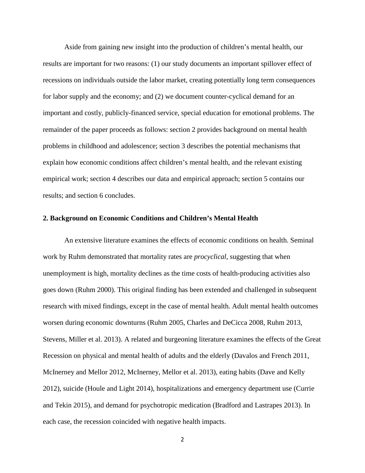Aside from gaining new insight into the production of children's mental health, our results are important for two reasons: (1) our study documents an important spillover effect of recessions on individuals outside the labor market, creating potentially long term consequences for labor supply and the economy; and (2) we document counter-cyclical demand for an important and costly, publicly-financed service, special education for emotional problems. The remainder of the paper proceeds as follows: section 2 provides background on mental health problems in childhood and adolescence; section 3 describes the potential mechanisms that explain how economic conditions affect children's mental health, and the relevant existing empirical work; section 4 describes our data and empirical approach; section 5 contains our results; and section 6 concludes.

### **2. Background on Economic Conditions and Children's Mental Health**

An extensive literature examines the effects of economic conditions on health. Seminal work by Ruhm demonstrated that mortality rates are *procyclical*, suggesting that when unemployment is high, mortality declines as the time costs of health-producing activities also goes down (Ruhm 2000). This original finding has been extended and challenged in subsequent research with mixed findings, except in the case of mental health. Adult mental health outcomes worsen during economic downturns (Ruhm 2005, Charles and DeCicca 2008, Ruhm 2013, Stevens, Miller et al. 2013). A related and burgeoning literature examines the effects of the Great Recession on physical and mental health of adults and the elderly (Davalos and French 2011, McInerney and Mellor 2012, McInerney, Mellor et al. 2013), eating habits (Dave and Kelly 2012), suicide (Houle and Light 2014), hospitalizations and emergency department use (Currie and Tekin 2015), and demand for psychotropic medication (Bradford and Lastrapes 2013). In each case, the recession coincided with negative health impacts.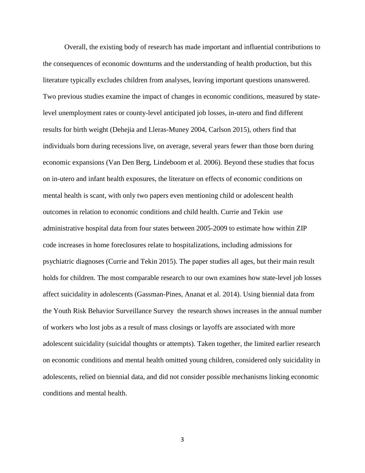Overall, the existing body of research has made important and influential contributions to the consequences of economic downturns and the understanding of health production, but this literature typically excludes children from analyses, leaving important questions unanswered. Two previous studies examine the impact of changes in economic conditions, measured by statelevel unemployment rates or county-level anticipated job losses, in-utero and find different results for birth weight (Dehejia and Lleras-Muney 2004, Carlson 2015), others find that individuals born during recessions live, on average, several years fewer than those born during economic expansions (Van Den Berg, Lindeboom et al. 2006). Beyond these studies that focus on in-utero and infant health exposures, the literature on effects of economic conditions on mental health is scant, with only two papers even mentioning child or adolescent health outcomes in relation to economic conditions and child health. Currie and Tekin use administrative hospital data from four states between 2005-2009 to estimate how within ZIP code increases in home foreclosures relate to hospitalizations, including admissions for psychiatric diagnoses (Currie and Tekin 2015). The paper studies all ages, but their main result holds for children. The most comparable research to our own examines how state-level job losses affect suicidality in adolescents (Gassman-Pines, Ananat et al. 2014). Using biennial data from the Youth Risk Behavior Surveillance Survey the research shows increases in the annual number of workers who lost jobs as a result of mass closings or layoffs are associated with more adolescent suicidality (suicidal thoughts or attempts). Taken together, the limited earlier research on economic conditions and mental health omitted young children, considered only suicidality in adolescents, relied on biennial data, and did not consider possible mechanisms linking economic conditions and mental health.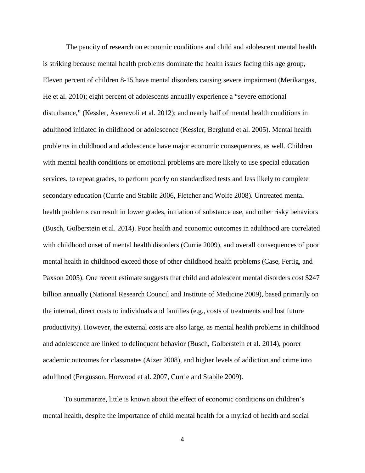The paucity of research on economic conditions and child and adolescent mental health is striking because mental health problems dominate the health issues facing this age group, Eleven percent of children 8-15 have mental disorders causing severe impairment (Merikangas, He et al. 2010); eight percent of adolescents annually experience a "severe emotional disturbance," (Kessler, Avenevoli et al. 2012); and nearly half of mental health conditions in adulthood initiated in childhood or adolescence (Kessler, Berglund et al. 2005). Mental health problems in childhood and adolescence have major economic consequences, as well. Children with mental health conditions or emotional problems are more likely to use special education services, to repeat grades, to perform poorly on standardized tests and less likely to complete secondary education (Currie and Stabile 2006, Fletcher and Wolfe 2008). Untreated mental health problems can result in lower grades, initiation of substance use, and other risky behaviors (Busch, Golberstein et al. 2014). Poor health and economic outcomes in adulthood are correlated with childhood onset of mental health disorders (Currie 2009), and overall consequences of poor mental health in childhood exceed those of other childhood health problems (Case, Fertig, and Paxson 2005). One recent estimate suggests that child and adolescent mental disorders cost \$247 billion annually (National Research Council and Institute of Medicine 2009), based primarily on the internal, direct costs to individuals and families (e.g., costs of treatments and lost future productivity). However, the external costs are also large, as mental health problems in childhood and adolescence are linked to delinquent behavior (Busch, Golberstein et al. 2014), poorer academic outcomes for classmates (Aizer 2008), and higher levels of addiction and crime into adulthood (Fergusson, Horwood et al. 2007, Currie and Stabile 2009).

To summarize, little is known about the effect of economic conditions on children's mental health, despite the importance of child mental health for a myriad of health and social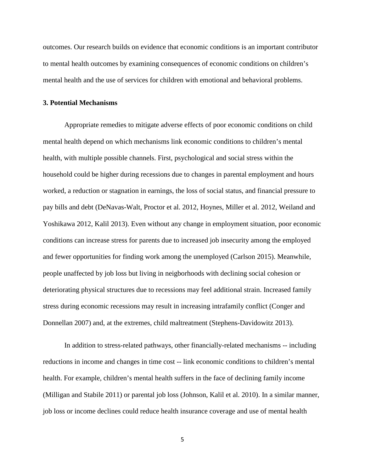outcomes. Our research builds on evidence that economic conditions is an important contributor to mental health outcomes by examining consequences of economic conditions on children's mental health and the use of services for children with emotional and behavioral problems.

#### **3. Potential Mechanisms**

Appropriate remedies to mitigate adverse effects of poor economic conditions on child mental health depend on which mechanisms link economic conditions to children's mental health, with multiple possible channels. First, psychological and social stress within the household could be higher during recessions due to changes in parental employment and hours worked, a reduction or stagnation in earnings, the loss of social status, and financial pressure to pay bills and debt (DeNavas-Walt, Proctor et al. 2012, Hoynes, Miller et al. 2012, Weiland and Yoshikawa 2012, Kalil 2013). Even without any change in employment situation, poor economic conditions can increase stress for parents due to increased job insecurity among the employed and fewer opportunities for finding work among the unemployed (Carlson 2015). Meanwhile, people unaffected by job loss but living in neigborhoods with declining social cohesion or deteriorating physical structures due to recessions may feel additional strain. Increased family stress during economic recessions may result in increasing intrafamily conflict (Conger and Donnellan 2007) and, at the extremes, child maltreatment (Stephens-Davidowitz 2013).

In addition to stress-related pathways, other financially-related mechanisms -- including reductions in income and changes in time cost -- link economic conditions to children's mental health. For example, children's mental health suffers in the face of declining family income (Milligan and Stabile 2011) or parental job loss (Johnson, Kalil et al. 2010). In a similar manner, job loss or income declines could reduce health insurance coverage and use of mental health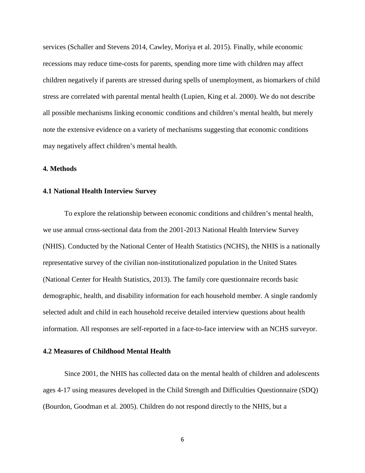services (Schaller and Stevens 2014, Cawley, Moriya et al. 2015). Finally, while economic recessions may reduce time-costs for parents, spending more time with children may affect children negatively if parents are stressed during spells of unemployment, as biomarkers of child stress are correlated with parental mental health (Lupien, King et al. 2000). We do not describe all possible mechanisms linking economic conditions and children's mental health, but merely note the extensive evidence on a variety of mechanisms suggesting that economic conditions may negatively affect children's mental health.

## **4. Methods**

#### **4.1 National Health Interview Survey**

To explore the relationship between economic conditions and children's mental health, we use annual cross-sectional data from the 2001-2013 National Health Interview Survey (NHIS). Conducted by the National Center of Health Statistics (NCHS), the NHIS is a nationally representative survey of the civilian non-institutionalized population in the United States (National Center for Health Statistics, 2013). The family core questionnaire records basic demographic, health, and disability information for each household member. A single randomly selected adult and child in each household receive detailed interview questions about health information. All responses are self-reported in a face-to-face interview with an NCHS surveyor.

#### **4.2 Measures of Childhood Mental Health**

Since 2001, the NHIS has collected data on the mental health of children and adolescents ages 4-17 using measures developed in the Child Strength and Difficulties Questionnaire (SDQ) (Bourdon, Goodman et al. 2005). Children do not respond directly to the NHIS, but a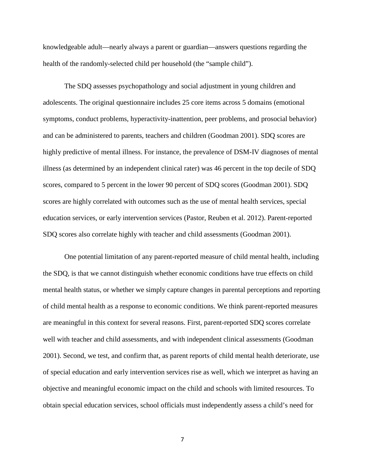knowledgeable adult—nearly always a parent or guardian—answers questions regarding the health of the randomly-selected child per household (the "sample child").

The SDQ assesses psychopathology and social adjustment in young children and adolescents. The original questionnaire includes 25 core items across 5 domains (emotional symptoms, conduct problems, hyperactivity-inattention, peer problems, and prosocial behavior) and can be administered to parents, teachers and children (Goodman 2001). SDQ scores are highly predictive of mental illness. For instance, the prevalence of DSM-IV diagnoses of mental illness (as determined by an independent clinical rater) was 46 percent in the top decile of SDQ scores, compared to 5 percent in the lower 90 percent of SDQ scores (Goodman 2001). SDQ scores are highly correlated with outcomes such as the use of mental health services, special education services, or early intervention services (Pastor, Reuben et al. 2012). Parent-reported SDQ scores also correlate highly with teacher and child assessments (Goodman 2001).

One potential limitation of any parent-reported measure of child mental health, including the SDQ, is that we cannot distinguish whether economic conditions have true effects on child mental health status, or whether we simply capture changes in parental perceptions and reporting of child mental health as a response to economic conditions. We think parent-reported measures are meaningful in this context for several reasons. First, parent-reported SDQ scores correlate well with teacher and child assessments, and with independent clinical assessments (Goodman 2001). Second, we test, and confirm that, as parent reports of child mental health deteriorate, use of special education and early intervention services rise as well, which we interpret as having an objective and meaningful economic impact on the child and schools with limited resources. To obtain special education services, school officials must independently assess a child's need for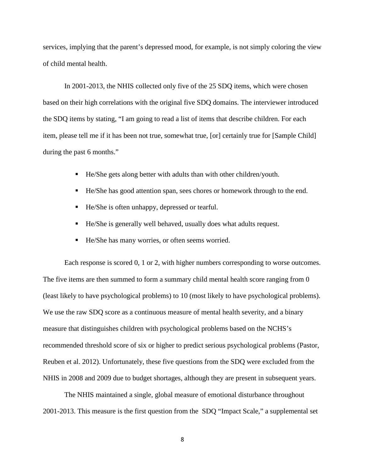services, implying that the parent's depressed mood, for example, is not simply coloring the view of child mental health.

In 2001-2013, the NHIS collected only five of the 25 SDQ items, which were chosen based on their high correlations with the original five SDQ domains. The interviewer introduced the SDQ items by stating, "I am going to read a list of items that describe children. For each item, please tell me if it has been not true, somewhat true, [or] certainly true for [Sample Child] during the past 6 months."

- He/She gets along better with adults than with other children/youth.
- He/She has good attention span, sees chores or homework through to the end.
- He/She is often unhappy, depressed or tearful.
- He/She is generally well behaved, usually does what adults request.
- He/She has many worries, or often seems worried.

Each response is scored 0, 1 or 2, with higher numbers corresponding to worse outcomes. The five items are then summed to form a summary child mental health score ranging from 0 (least likely to have psychological problems) to 10 (most likely to have psychological problems). We use the raw SDQ score as a continuous measure of mental health severity, and a binary measure that distinguishes children with psychological problems based on the NCHS's recommended threshold score of six or higher to predict serious psychological problems (Pastor, Reuben et al. 2012). Unfortunately, these five questions from the SDQ were excluded from the NHIS in 2008 and 2009 due to budget shortages, although they are present in subsequent years.

The NHIS maintained a single, global measure of emotional disturbance throughout 2001-2013. This measure is the first question from the SDQ "Impact Scale," a supplemental set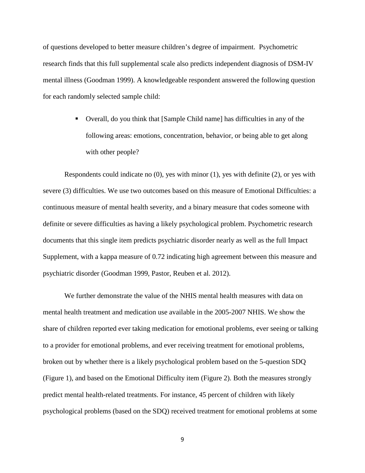of questions developed to better measure children's degree of impairment. Psychometric research finds that this full supplemental scale also predicts independent diagnosis of DSM-IV mental illness (Goodman 1999). A knowledgeable respondent answered the following question for each randomly selected sample child:

> Overall, do you think that [Sample Child name] has difficulties in any of the following areas: emotions, concentration, behavior, or being able to get along with other people?

Respondents could indicate no (0), yes with minor (1), yes with definite (2), or yes with severe (3) difficulties. We use two outcomes based on this measure of Emotional Difficulties: a continuous measure of mental health severity, and a binary measure that codes someone with definite or severe difficulties as having a likely psychological problem. Psychometric research documents that this single item predicts psychiatric disorder nearly as well as the full Impact Supplement, with a kappa measure of 0.72 indicating high agreement between this measure and psychiatric disorder (Goodman 1999, Pastor, Reuben et al. 2012).

We further demonstrate the value of the NHIS mental health measures with data on mental health treatment and medication use available in the 2005-2007 NHIS. We show the share of children reported ever taking medication for emotional problems, ever seeing or talking to a provider for emotional problems, and ever receiving treatment for emotional problems, broken out by whether there is a likely psychological problem based on the 5-question SDQ (Figure 1), and based on the Emotional Difficulty item (Figure 2). Both the measures strongly predict mental health-related treatments. For instance, 45 percent of children with likely psychological problems (based on the SDQ) received treatment for emotional problems at some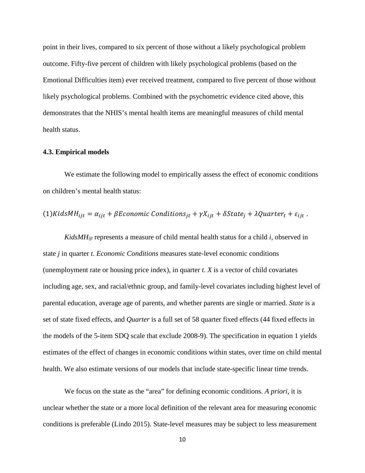point in their lives, compared to six percent of those without a likely psychological problem outcome. Fifty-five percent of children with likely psychological problems (based on the Emotional Difficulties item) ever received treatment, compared to five percent of those without likely psychological problems. Combined with the psychometric evidence cited above, this demonstrates that the NHIS's mental health items are meaningful measures of child mental health status.

#### **4.3. Empirical models**

We estimate the following model to empirically assess the effect of economic conditions on children's mental health status:

(1)*Kid*s
$$
MH_{ijt} = \alpha_{ijt} + \beta E
$$
conomic Conditions<sub>jt</sub> +  $\gamma X_{ijt} + \delta State_j + \lambda Quarter_t + \varepsilon_{ijt}$ .

*KidsMHijt* represents a measure of child mental health status for a child *i*, observed in state *j* in quarter *t*. *Economic Conditions* measures state-level economic conditions (unemployment rate or housing price index), in quarter *t*. *X* is a vector of child covariates including age, sex, and racial/ethnic group, and family-level covariates including highest level of parental education, average age of parents, and whether parents are single or married. *State* is a set of state fixed effects, and *Quarter* is a full set of 58 quarter fixed effects (44 fixed effects in the models of the 5-item SDQ scale that exclude 2008-9). The specification in equation 1 yields estimates of the effect of changes in economic conditions within states, over time on child mental health. We also estimate versions of our models that include state-specific linear time trends.

We focus on the state as the "area" for defining economic conditions. *A priori*, it is unclear whether the state or a more local definition of the relevant area for measuring economic conditions is preferable (Lindo 2015). State-level measures may be subject to less measurement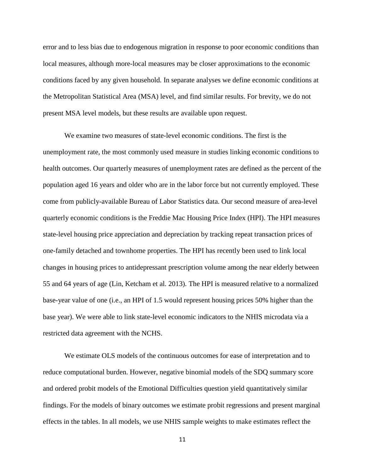error and to less bias due to endogenous migration in response to poor economic conditions than local measures, although more-local measures may be closer approximations to the economic conditions faced by any given household. In separate analyses we define economic conditions at the Metropolitan Statistical Area (MSA) level, and find similar results. For brevity, we do not present MSA level models, but these results are available upon request.

We examine two measures of state-level economic conditions. The first is the unemployment rate, the most commonly used measure in studies linking economic conditions to health outcomes. Our quarterly measures of unemployment rates are defined as the percent of the population aged 16 years and older who are in the labor force but not currently employed. These come from publicly-available Bureau of Labor Statistics data. Our second measure of area-level quarterly economic conditions is the Freddie Mac Housing Price Index (HPI). The HPI measures state-level housing price appreciation and depreciation by tracking repeat transaction prices of one-family detached and townhome properties. The HPI has recently been used to link local changes in housing prices to antidepressant prescription volume among the near elderly between 55 and 64 years of age (Lin, Ketcham et al. 2013). The HPI is measured relative to a normalized base-year value of one (i.e., an HPI of 1.5 would represent housing prices 50% higher than the base year). We were able to link state-level economic indicators to the NHIS microdata via a restricted data agreement with the NCHS.

We estimate OLS models of the continuous outcomes for ease of interpretation and to reduce computational burden. However, negative binomial models of the SDQ summary score and ordered probit models of the Emotional Difficulties question yield quantitatively similar findings. For the models of binary outcomes we estimate probit regressions and present marginal effects in the tables. In all models, we use NHIS sample weights to make estimates reflect the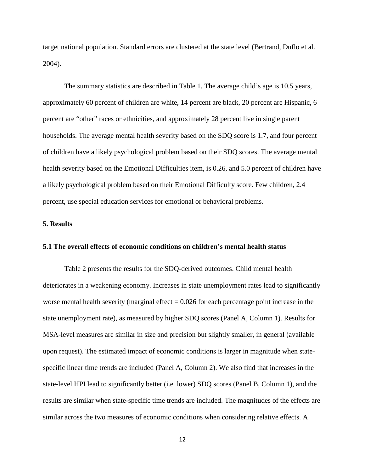target national population. Standard errors are clustered at the state level (Bertrand, Duflo et al. 2004).

The summary statistics are described in Table 1. The average child's age is 10.5 years, approximately 60 percent of children are white, 14 percent are black, 20 percent are Hispanic, 6 percent are "other" races or ethnicities, and approximately 28 percent live in single parent households. The average mental health severity based on the SDQ score is 1.7, and four percent of children have a likely psychological problem based on their SDQ scores. The average mental health severity based on the Emotional Difficulties item, is 0.26, and 5.0 percent of children have a likely psychological problem based on their Emotional Difficulty score. Few children, 2.4 percent, use special education services for emotional or behavioral problems.

# **5. Results**

## **5.1 The overall effects of economic conditions on children's mental health status**

Table 2 presents the results for the SDQ-derived outcomes. Child mental health deteriorates in a weakening economy. Increases in state unemployment rates lead to significantly worse mental health severity (marginal effect  $= 0.026$  for each percentage point increase in the state unemployment rate), as measured by higher SDQ scores (Panel A, Column 1). Results for MSA-level measures are similar in size and precision but slightly smaller, in general (available upon request). The estimated impact of economic conditions is larger in magnitude when statespecific linear time trends are included (Panel A, Column 2). We also find that increases in the state-level HPI lead to significantly better (i.e. lower) SDQ scores (Panel B, Column 1), and the results are similar when state-specific time trends are included. The magnitudes of the effects are similar across the two measures of economic conditions when considering relative effects. A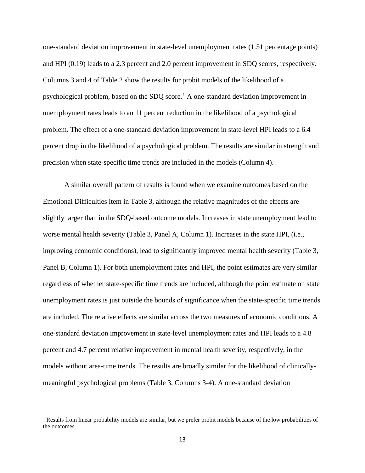one-standard deviation improvement in state-level unemployment rates (1.51 percentage points) and HPI (0.19) leads to a 2.3 percent and 2.0 percent improvement in SDQ scores, respectively. Columns 3 and 4 of Table 2 show the results for probit models of the likelihood of a psychological problem, based on the SDQ score.<sup>[1](#page-14-0)</sup> A one-standard deviation improvement in unemployment rates leads to an 11 percent reduction in the likelihood of a psychological problem. The effect of a one-standard deviation improvement in state-level HPI leads to a 6.4 percent drop in the likelihood of a psychological problem. The results are similar in strength and precision when state-specific time trends are included in the models (Column 4).

A similar overall pattern of results is found when we examine outcomes based on the Emotional Difficulties item in Table 3, although the relative magnitudes of the effects are slightly larger than in the SDQ-based outcome models. Increases in state unemployment lead to worse mental health severity (Table 3, Panel A, Column 1). Increases in the state HPI, (i.e., improving economic conditions), lead to significantly improved mental health severity (Table 3, Panel B, Column 1). For both unemployment rates and HPI, the point estimates are very similar regardless of whether state-specific time trends are included, although the point estimate on state unemployment rates is just outside the bounds of significance when the state-specific time trends are included. The relative effects are similar across the two measures of economic conditions. A one-standard deviation improvement in state-level unemployment rates and HPI leads to a 4.8 percent and 4.7 percent relative improvement in mental health severity, respectively, in the models without area-time trends. The results are broadly similar for the likelihood of clinicallymeaningful psychological problems (Table 3, Columns 3-4). A one-standard deviation

l

<span id="page-14-0"></span><sup>&</sup>lt;sup>1</sup> Results from linear probability models are similar, but we prefer probit models because of the low probabilities of the outcomes.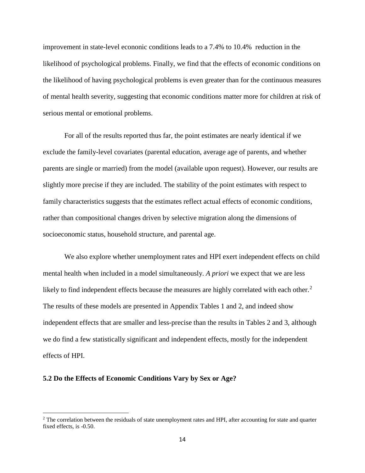improvement in state-level econonic conditions leads to a 7.4% to 10.4% reduction in the likelihood of psychological problems. Finally, we find that the effects of economic conditions on the likelihood of having psychological problems is even greater than for the continuous measures of mental health severity, suggesting that economic conditions matter more for children at risk of serious mental or emotional problems.

For all of the results reported thus far, the point estimates are nearly identical if we exclude the family-level covariates (parental education, average age of parents, and whether parents are single or married) from the model (available upon request). However, our results are slightly more precise if they are included. The stability of the point estimates with respect to family characteristics suggests that the estimates reflect actual effects of economic conditions, rather than compositional changes driven by selective migration along the dimensions of socioeconomic status, household structure, and parental age.

We also explore whether unemployment rates and HPI exert independent effects on child mental health when included in a model simultaneously. *A priori* we expect that we are less likely to find independent effects because the measures are highly correlated with each other.<sup>[2](#page-15-0)</sup> The results of these models are presented in Appendix Tables 1 and 2, and indeed show independent effects that are smaller and less-precise than the results in Tables 2 and 3, although we do find a few statistically significant and independent effects, mostly for the independent effects of HPI.

## **5.2 Do the Effects of Economic Conditions Vary by Sex or Age?**

l

<span id="page-15-0"></span> $2$  The correlation between the residuals of state unemployment rates and HPI, after accounting for state and quarter fixed effects, is -0.50.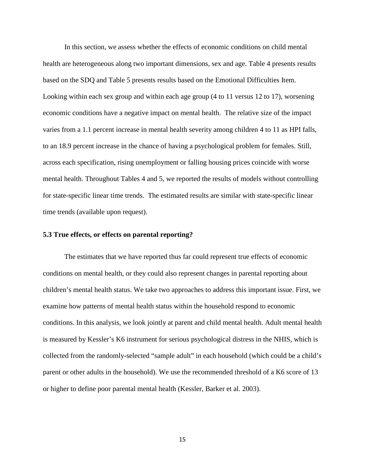In this section, we assess whether the effects of economic conditions on child mental health are heterogeneous along two important dimensions, sex and age. Table 4 presents results based on the SDQ and Table 5 presents results based on the Emotional Difficulties Item. Looking within each sex group and within each age group (4 to 11 versus 12 to 17), worsening economic conditions have a negative impact on mental health. The relative size of the impact varies from a 1.1 percent increase in mental health severity among children 4 to 11 as HPI falls, to an 18.9 percent increase in the chance of having a psychological problem for females. Still, across each specification, rising unemployment or falling housing prices coincide with worse mental health. Throughout Tables 4 and 5, we reported the results of models without controlling for state-specific linear time trends. The estimated results are similar with state-specific linear time trends (available upon request).

### **5.3 True effects, or effects on parental reporting?**

The estimates that we have reported thus far could represent true effects of economic conditions on mental health, or they could also represent changes in parental reporting about children's mental health status. We take two approaches to address this important issue. First, we examine how patterns of mental health status within the household respond to economic conditions. In this analysis, we look jointly at parent and child mental health. Adult mental health is measured by Kessler's K6 instrument for serious psychological distress in the NHIS, which is collected from the randomly-selected "sample adult" in each household (which could be a child's parent or other adults in the household). We use the recommended threshold of a K6 score of 13 or higher to define poor parental mental health (Kessler, Barker et al. 2003).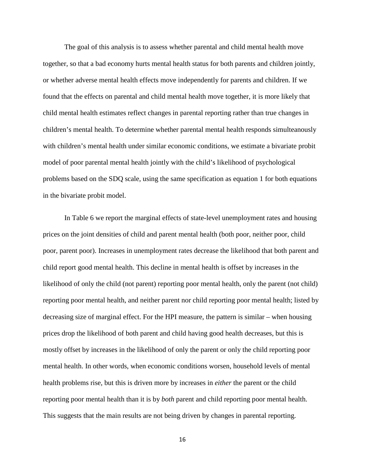The goal of this analysis is to assess whether parental and child mental health move together, so that a bad economy hurts mental health status for both parents and children jointly, or whether adverse mental health effects move independently for parents and children. If we found that the effects on parental and child mental health move together, it is more likely that child mental health estimates reflect changes in parental reporting rather than true changes in children's mental health. To determine whether parental mental health responds simulteanously with children's mental health under similar economic conditions, we estimate a bivariate probit model of poor parental mental health jointly with the child's likelihood of psychological problems based on the SDQ scale, using the same specification as equation 1 for both equations in the bivariate probit model.

In Table 6 we report the marginal effects of state-level unemployment rates and housing prices on the joint densities of child and parent mental health (both poor, neither poor, child poor, parent poor). Increases in unemployment rates decrease the likelihood that both parent and child report good mental health. This decline in mental health is offset by increases in the likelihood of only the child (not parent) reporting poor mental health, only the parent (not child) reporting poor mental health, and neither parent nor child reporting poor mental health; listed by decreasing size of marginal effect. For the HPI measure, the pattern is similar – when housing prices drop the likelihood of both parent and child having good health decreases, but this is mostly offset by increases in the likelihood of only the parent or only the child reporting poor mental health. In other words, when economic conditions worsen, household levels of mental health problems rise, but this is driven more by increases in *either* the parent or the child reporting poor mental health than it is by *both* parent and child reporting poor mental health. This suggests that the main results are not being driven by changes in parental reporting.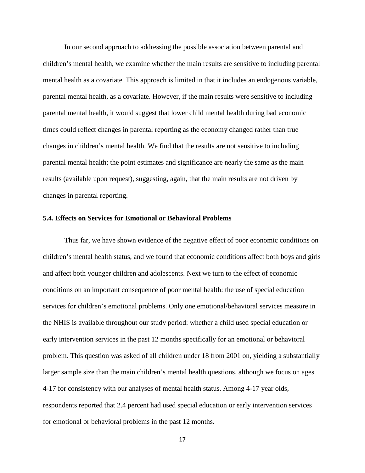In our second approach to addressing the possible association between parental and children's mental health, we examine whether the main results are sensitive to including parental mental health as a covariate. This approach is limited in that it includes an endogenous variable, parental mental health, as a covariate. However, if the main results were sensitive to including parental mental health, it would suggest that lower child mental health during bad economic times could reflect changes in parental reporting as the economy changed rather than true changes in children's mental health. We find that the results are not sensitive to including parental mental health; the point estimates and significance are nearly the same as the main results (available upon request), suggesting, again, that the main results are not driven by changes in parental reporting.

# **5.4. Effects on Services for Emotional or Behavioral Problems**

Thus far, we have shown evidence of the negative effect of poor economic conditions on children's mental health status, and we found that economic conditions affect both boys and girls and affect both younger children and adolescents. Next we turn to the effect of economic conditions on an important consequence of poor mental health: the use of special education services for children's emotional problems. Only one emotional/behavioral services measure in the NHIS is available throughout our study period: whether a child used special education or early intervention services in the past 12 months specifically for an emotional or behavioral problem. This question was asked of all children under 18 from 2001 on, yielding a substantially larger sample size than the main children's mental health questions, although we focus on ages 4-17 for consistency with our analyses of mental health status. Among 4-17 year olds, respondents reported that 2.4 percent had used special education or early intervention services for emotional or behavioral problems in the past 12 months.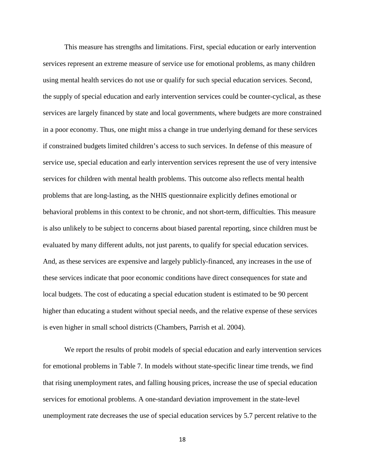This measure has strengths and limitations. First, special education or early intervention services represent an extreme measure of service use for emotional problems, as many children using mental health services do not use or qualify for such special education services. Second, the supply of special education and early intervention services could be counter-cyclical, as these services are largely financed by state and local governments, where budgets are more constrained in a poor economy. Thus, one might miss a change in true underlying demand for these services if constrained budgets limited children's access to such services. In defense of this measure of service use, special education and early intervention services represent the use of very intensive services for children with mental health problems. This outcome also reflects mental health problems that are long-lasting, as the NHIS questionnaire explicitly defines emotional or behavioral problems in this context to be chronic, and not short-term, difficulties. This measure is also unlikely to be subject to concerns about biased parental reporting, since children must be evaluated by many different adults, not just parents, to qualify for special education services. And, as these services are expensive and largely publicly-financed, any increases in the use of these services indicate that poor economic conditions have direct consequences for state and local budgets. The cost of educating a special education student is estimated to be 90 percent higher than educating a student without special needs, and the relative expense of these services is even higher in small school districts (Chambers, Parrish et al. 2004).

We report the results of probit models of special education and early intervention services for emotional problems in Table 7. In models without state-specific linear time trends, we find that rising unemployment rates, and falling housing prices, increase the use of special education services for emotional problems. A one-standard deviation improvement in the state-level unemployment rate decreases the use of special education services by 5.7 percent relative to the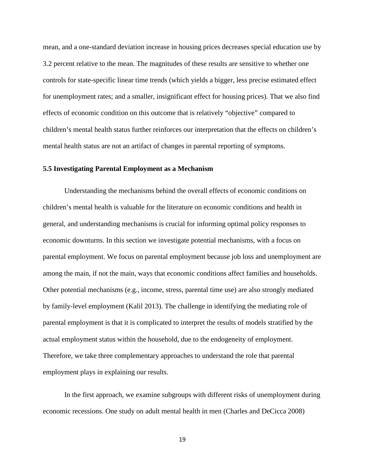mean, and a one-standard deviation increase in housing prices decreases special education use by 3.2 percent relative to the mean. The magnitudes of these results are sensitive to whether one controls for state-specific linear time trends (which yields a bigger, less precise estimated effect for unemployment rates; and a smaller, insignificant effect for housing prices). That we also find effects of economic condition on this outcome that is relatively "objective" compared to children's mental health status further reinforces our interpretation that the effects on children's mental health status are not an artifact of changes in parental reporting of symptoms.

## **5.5 Investigating Parental Employment as a Mechanism**

Understanding the mechanisms behind the overall effects of economic conditions on children's mental health is valuable for the literature on economic conditions and health in general, and understanding mechanisms is crucial for informing optimal policy responses to economic downturns. In this section we investigate potential mechanisms, with a focus on parental employment. We focus on parental employment because job loss and unemployment are among the main, if not the main, ways that economic conditions affect families and households. Other potential mechanisms (e.g., income, stress, parental time use) are also strongly mediated by family-level employment (Kalil 2013). The challenge in identifying the mediating role of parental employment is that it is complicated to interpret the results of models stratified by the actual employment status within the household, due to the endogeneity of employment. Therefore, we take three complementary approaches to understand the role that parental employment plays in explaining our results.

In the first approach, we examine subgroups with different risks of unemployment during economic recessions. One study on adult mental health in men (Charles and DeCicca 2008)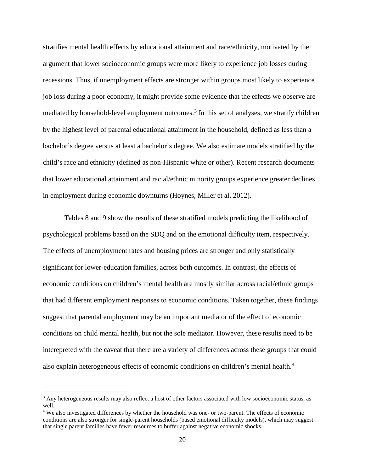stratifies mental health effects by educational attainment and race/ethnicity, motivated by the argument that lower socioeconomic groups were more likely to experience job losses during recessions. Thus, if unemployment effects are stronger within groups most likely to experience job loss during a poor economy, it might provide some evidence that the effects we observe are mediated by household-level employment outcomes.<sup>[3](#page-21-0)</sup> In this set of analyses, we stratify children by the highest level of parental educational attainment in the household, defined as less than a bachelor's degree versus at least a bachelor's degree. We also estimate models stratified by the child's race and ethnicity (defined as non-Hispanic white or other). Recent research documents that lower educational attainment and racial/ethnic minority groups experience greater declines in employment during economic downturns (Hoynes, Miller et al. 2012).

Tables 8 and 9 show the results of these stratified models predicting the likelihood of psychological problems based on the SDQ and on the emotional difficulty item, respectively. The effects of unemployment rates and housing prices are stronger and only statistically significant for lower-education families, across both outcomes. In contrast, the effects of economic conditions on children's mental health are mostly similar across racial/ethnic groups that had different employment responses to economic conditions. Taken together, these findings suggest that parental employment may be an important mediator of the effect of economic conditions on child mental health, but not the sole mediator. However, these results need to be interepreted with the caveat that there are a variety of differences across these groups that could also explain heterogeneous effects of economic conditions on children's mental health.<sup>[4](#page-21-1)</sup>

 $\overline{\phantom{a}}$ 

<span id="page-21-0"></span><sup>&</sup>lt;sup>3</sup> Any heterogeneous results may also reflect a host of other factors associated with low socioeconomic status, as well.

<span id="page-21-1"></span><sup>&</sup>lt;sup>4</sup> We also investigated differences by whether the household was one- or two-parent. The effects of economic conditions are also stronger for single-parent households (based emotional difficulty models), which may suggest that single parent families have fewer resources to buffer against negative economic shocks.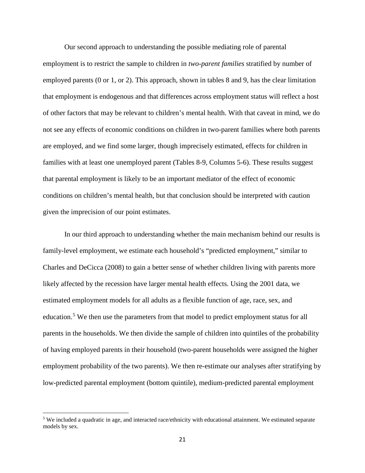Our second approach to understanding the possible mediating role of parental employment is to restrict the sample to children in *two-parent families* stratified by number of employed parents (0 or 1, or 2). This approach, shown in tables 8 and 9, has the clear limitation that employment is endogenous and that differences across employment status will reflect a host of other factors that may be relevant to children's mental health. With that caveat in mind, we do not see any effects of economic conditions on children in two-parent families where both parents are employed, and we find some larger, though imprecisely estimated, effects for children in families with at least one unemployed parent (Tables 8-9, Columns 5-6). These results suggest that parental employment is likely to be an important mediator of the effect of economic conditions on children's mental health, but that conclusion should be interpreted with caution given the imprecision of our point estimates.

In our third approach to understanding whether the main mechanism behind our results is family-level employment, we estimate each household's "predicted employment," similar to Charles and DeCicca (2008) to gain a better sense of whether children living with parents more likely affected by the recession have larger mental health effects. Using the 2001 data, we estimated employment models for all adults as a flexible function of age, race, sex, and education.<sup>[5](#page-22-0)</sup> We then use the parameters from that model to predict employment status for all parents in the households. We then divide the sample of children into quintiles of the probability of having employed parents in their household (two-parent households were assigned the higher employment probability of the two parents). We then re-estimate our analyses after stratifying by low-predicted parental employment (bottom quintile), medium-predicted parental employment

l

<span id="page-22-0"></span><sup>5</sup> We included a quadratic in age, and interacted race/ethnicity with educational attainment. We estimated separate models by sex.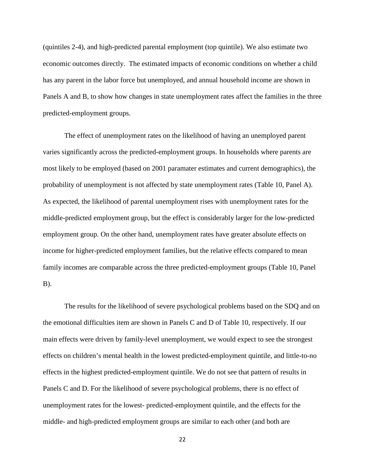(quintiles 2-4), and high-predicted parental employment (top quintile). We also estimate two economic outcomes directly. The estimated impacts of economic conditions on whether a child has any parent in the labor force but unemployed, and annual household income are shown in Panels A and B, to show how changes in state unemployment rates affect the families in the three predicted-employment groups.

The effect of unemployment rates on the likelihood of having an unemployed parent varies significantly across the predicted-employment groups. In households where parents are most likely to be employed (based on 2001 paramater estimates and current demographics), the probability of unemployment is not affected by state unemployment rates (Table 10, Panel A). As expected, the likelihood of parental unemployment rises with unemployment rates for the middle-predicted employment group, but the effect is considerably larger for the low-predicted employment group. On the other hand, unemployment rates have greater absolute effects on income for higher-predicted employment families, but the relative effects compared to mean family incomes are comparable across the three predicted-employment groups (Table 10, Panel  $B$ ).

The results for the likelihood of severe psychological problems based on the SDQ and on the emotional difficulties item are shown in Panels C and D of Table 10, respectively. If our main effects were driven by family-level unemployment, we would expect to see the strongest effects on children's mental health in the lowest predicted-employment quintile, and little-to-no effects in the highest predicted-employment quintile. We do not see that pattern of results in Panels C and D. For the likelihood of severe psychological problems, there is no effect of unemployment rates for the lowest- predicted-employment quintile, and the effects for the middle- and high-predicted employment groups are similar to each other (and both are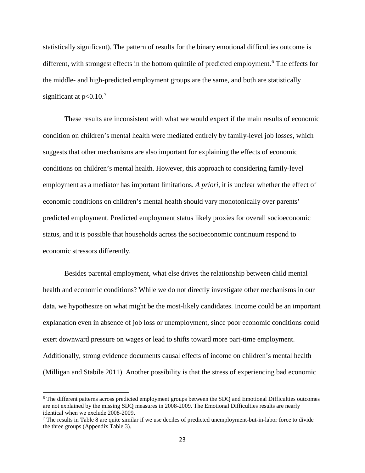statistically significant). The pattern of results for the binary emotional difficulties outcome is different, with strongest effects in the bottom quintile of predicted employment.<sup>[6](#page-24-0)</sup> The effects for the middle- and high-predicted employment groups are the same, and both are statistically significant at  $p<0.10$ .<sup>[7](#page-24-1)</sup>

These results are inconsistent with what we would expect if the main results of economic condition on children's mental health were mediated entirely by family-level job losses, which suggests that other mechanisms are also important for explaining the effects of economic conditions on children's mental health. However, this approach to considering family-level employment as a mediator has important limitations. *A priori*, it is unclear whether the effect of economic conditions on children's mental health should vary monotonically over parents' predicted employment. Predicted employment status likely proxies for overall socioeconomic status, and it is possible that households across the socioeconomic continuum respond to economic stressors differently.

Besides parental employment, what else drives the relationship between child mental health and economic conditions? While we do not directly investigate other mechanisms in our data, we hypothesize on what might be the most-likely candidates. Income could be an important explanation even in absence of job loss or unemployment, since poor economic conditions could exert downward pressure on wages or lead to shifts toward more part-time employment. Additionally, strong evidence documents causal effects of income on children's mental health (Milligan and Stabile 2011). Another possibility is that the stress of experiencing bad economic

 $\overline{\phantom{a}}$ 

<span id="page-24-0"></span><sup>6</sup> The different patterns across predicted employment groups between the SDQ and Emotional Difficulties outcomes are not explained by the missing SDQ measures in 2008-2009. The Emotional Difficulties results are nearly identical when we exclude 2008-2009.

<span id="page-24-1"></span> $<sup>7</sup>$  The results in Table 8 are quite similar if we use deciles of predicted unemployment-but-in-labor force to divide</sup> the three groups (Appendix Table 3).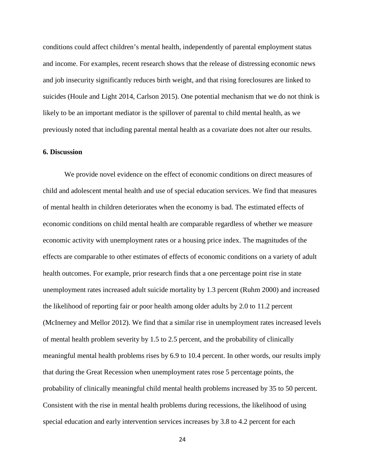conditions could affect children's mental health, independently of parental employment status and income. For examples, recent research shows that the release of distressing economic news and job insecurity significantly reduces birth weight, and that rising foreclosures are linked to suicides (Houle and Light 2014, Carlson 2015). One potential mechanism that we do not think is likely to be an important mediator is the spillover of parental to child mental health, as we previously noted that including parental mental health as a covariate does not alter our results.

# **6. Discussion**

We provide novel evidence on the effect of economic conditions on direct measures of child and adolescent mental health and use of special education services. We find that measures of mental health in children deteriorates when the economy is bad. The estimated effects of economic conditions on child mental health are comparable regardless of whether we measure economic activity with unemployment rates or a housing price index. The magnitudes of the effects are comparable to other estimates of effects of economic conditions on a variety of adult health outcomes. For example, prior research finds that a one percentage point rise in state unemployment rates increased adult suicide mortality by 1.3 percent (Ruhm 2000) and increased the likelihood of reporting fair or poor health among older adults by 2.0 to 11.2 percent (McInerney and Mellor 2012). We find that a similar rise in unemployment rates increased levels of mental health problem severity by 1.5 to 2.5 percent, and the probability of clinically meaningful mental health problems rises by 6.9 to 10.4 percent. In other words, our results imply that during the Great Recession when unemployment rates rose 5 percentage points, the probability of clinically meaningful child mental health problems increased by 35 to 50 percent. Consistent with the rise in mental health problems during recessions, the likelihood of using special education and early intervention services increases by 3.8 to 4.2 percent for each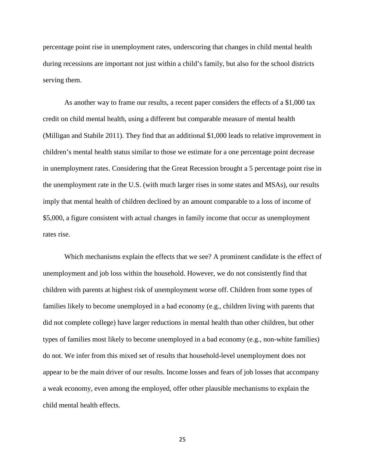percentage point rise in unemployment rates, underscoring that changes in child mental health during recessions are important not just within a child's family, but also for the school districts serving them.

As another way to frame our results, a recent paper considers the effects of a \$1,000 tax credit on child mental health, using a different but comparable measure of mental health (Milligan and Stabile 2011). They find that an additional \$1,000 leads to relative improvement in children's mental health status similar to those we estimate for a one percentage point decrease in unemployment rates. Considering that the Great Recession brought a 5 percentage point rise in the unemployment rate in the U.S. (with much larger rises in some states and MSAs), our results imply that mental health of children declined by an amount comparable to a loss of income of \$5,000, a figure consistent with actual changes in family income that occur as unemployment rates rise.

Which mechanisms explain the effects that we see? A prominent candidate is the effect of unemployment and job loss within the household. However, we do not consistently find that children with parents at highest risk of unemployment worse off. Children from some types of families likely to become unemployed in a bad economy (e.g., children living with parents that did not complete college) have larger reductions in mental health than other children, but other types of families most likely to become unemployed in a bad economy (e.g., non-white families) do not. We infer from this mixed set of results that household-level unemployment does not appear to be the main driver of our results. Income losses and fears of job losses that accompany a weak economy, even among the employed, offer other plausible mechanisms to explain the child mental health effects.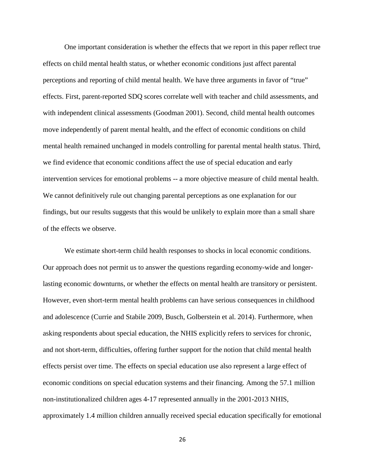One important consideration is whether the effects that we report in this paper reflect true effects on child mental health status, or whether economic conditions just affect parental perceptions and reporting of child mental health. We have three arguments in favor of "true" effects. First, parent-reported SDQ scores correlate well with teacher and child assessments, and with independent clinical assessments (Goodman 2001). Second, child mental health outcomes move independently of parent mental health, and the effect of economic conditions on child mental health remained unchanged in models controlling for parental mental health status. Third, we find evidence that economic conditions affect the use of special education and early intervention services for emotional problems -- a more objective measure of child mental health. We cannot definitively rule out changing parental perceptions as one explanation for our findings, but our results suggests that this would be unlikely to explain more than a small share of the effects we observe.

We estimate short-term child health responses to shocks in local economic conditions. Our approach does not permit us to answer the questions regarding economy-wide and longerlasting economic downturns, or whether the effects on mental health are transitory or persistent. However, even short-term mental health problems can have serious consequences in childhood and adolescence (Currie and Stabile 2009, Busch, Golberstein et al. 2014). Furthermore, when asking respondents about special education, the NHIS explicitly refers to services for chronic, and not short-term, difficulties, offering further support for the notion that child mental health effects persist over time. The effects on special education use also represent a large effect of economic conditions on special education systems and their financing. Among the 57.1 million non-institutionalized children ages 4-17 represented annually in the 2001-2013 NHIS, approximately 1.4 million children annually received special education specifically for emotional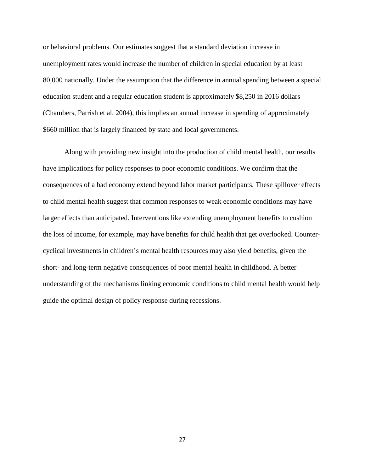or behavioral problems. Our estimates suggest that a standard deviation increase in unemployment rates would increase the number of children in special education by at least 80,000 nationally. Under the assumption that the difference in annual spending between a special education student and a regular education student is approximately \$8,250 in 2016 dollars (Chambers, Parrish et al. 2004), this implies an annual increase in spending of approximately \$660 million that is largely financed by state and local governments.

Along with providing new insight into the production of child mental health, our results have implications for policy responses to poor economic conditions. We confirm that the consequences of a bad economy extend beyond labor market participants. These spillover effects to child mental health suggest that common responses to weak economic conditions may have larger effects than anticipated. Interventions like extending unemployment benefits to cushion the loss of income, for example, may have benefits for child health that get overlooked. Countercyclical investments in children's mental health resources may also yield benefits, given the short- and long-term negative consequences of poor mental health in childhood. A better understanding of the mechanisms linking economic conditions to child mental health would help guide the optimal design of policy response during recessions.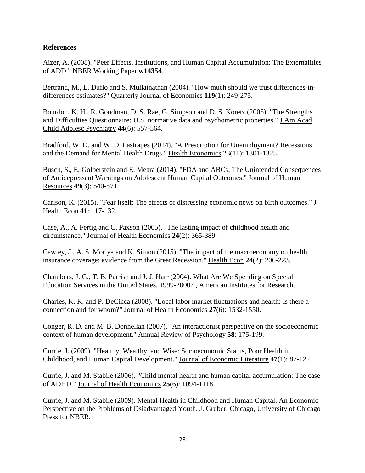# **References**

Aizer, A. (2008). "Peer Effects, Institutions, and Human Capital Accumulation: The Externalities of ADD." NBER Working Paper **w14354**.

Bertrand, M., E. Duflo and S. Mullainathan (2004). "How much should we trust differences-indifferences estimates?" Quarterly Journal of Economics **119**(1): 249-275.

Bourdon, K. H., R. Goodman, D. S. Rae, G. Simpson and D. S. Koretz (2005). "The Strengths and Difficulties Questionnaire: U.S. normative data and psychometric properties." J Am Acad Child Adolesc Psychiatry **44**(6): 557-564.

Bradford, W. D. and W. D. Lastrapes (2014). "A Prescription for Unemployment? Recessions and the Demand for Mental Health Drugs." Health Economics 23(11): 1301-1325.

Busch, S., E. Golberstein and E. Meara (2014). "FDA and ABCs: The Unintended Consequences of Antidepressant Warnings on Adolescent Human Capital Outcomes." Journal of Human Resources **49**(3): 540-571.

Carlson, K. (2015). "Fear itself: The effects of distressing economic news on birth outcomes." J Health Econ **41**: 117-132.

Case, A., A. Fertig and C. Paxson (2005). "The lasting impact of childhood health and circumstance." Journal of Health Economics **24**(2): 365-389.

Cawley, J., A. S. Moriya and K. Simon (2015). "The impact of the macroeconomy on health insurance coverage: evidence from the Great Recession." Health Econ **24**(2): 206-223.

Chambers, J. G., T. B. Parrish and J. J. Harr (2004). What Are We Spending on Special Education Services in the United States, 1999-2000? , American Institutes for Research.

Charles, K. K. and P. DeCicca (2008). "Local labor market fluctuations and health: Is there a connection and for whom?" Journal of Health Economics **27**(6): 1532-1550.

Conger, R. D. and M. B. Donnellan (2007). "An interactionist perspective on the socioeconomic context of human development." Annual Review of Psychology **58**: 175-199.

Currie, J. (2009). "Healthy, Wealthy, and Wise: Socioeconomic Status, Poor Health in Childhood, and Human Capital Development." Journal of Economic Literature **47**(1): 87-122.

Currie, J. and M. Stabile (2006). "Child mental health and human capital accumulation: The case of ADHD." Journal of Health Economics **25**(6): 1094-1118.

Currie, J. and M. Stabile (2009). Mental Health in Childhood and Human Capital. An Economic Perspective on the Problems of Dsiadvantaged Youth. J. Gruber. Chicago, University of Chicago Press for NBER.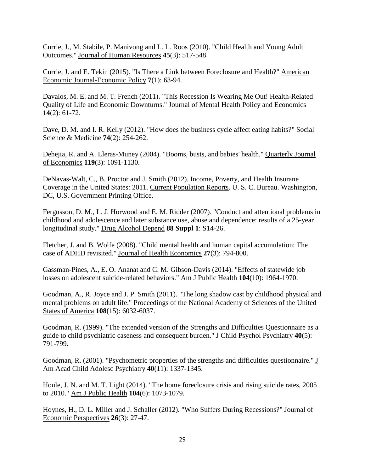Currie, J., M. Stabile, P. Manivong and L. L. Roos (2010). "Child Health and Young Adult Outcomes." Journal of Human Resources **45**(3): 517-548.

Currie, J. and E. Tekin (2015). "Is There a Link between Foreclosure and Health?" American Economic Journal-Economic Policy **7**(1): 63-94.

Davalos, M. E. and M. T. French (2011). "This Recession Is Wearing Me Out! Health-Related Quality of Life and Economic Downturns." Journal of Mental Health Policy and Economics **14**(2): 61-72.

Dave, D. M. and I. R. Kelly (2012). "How does the business cycle affect eating habits?" Social Science & Medicine **74**(2): 254-262.

Dehejia, R. and A. Lleras-Muney (2004). "Booms, busts, and babies' health." Quarterly Journal of Economics **119**(3): 1091-1130.

DeNavas-Walt, C., B. Proctor and J. Smith (2012). Income, Poverty, and Health Insurane Coverage in the United States: 2011. Current Population Reports. U. S. C. Bureau. Washington, DC, U.S. Government Printing Office.

Fergusson, D. M., L. J. Horwood and E. M. Ridder (2007). "Conduct and attentional problems in childhood and adolescence and later substance use, abuse and dependence: results of a 25-year longitudinal study." Drug Alcohol Depend **88 Suppl 1**: S14-26.

Fletcher, J. and B. Wolfe (2008). "Child mental health and human capital accumulation: The case of ADHD revisited." Journal of Health Economics **27**(3): 794-800.

Gassman-Pines, A., E. O. Ananat and C. M. Gibson-Davis (2014). "Effects of statewide job losses on adolescent suicide-related behaviors." Am J Public Health **104**(10): 1964-1970.

Goodman, A., R. Joyce and J. P. Smith (2011). "The long shadow cast by childhood physical and mental problems on adult life." Proceedings of the National Academy of Sciences of the United States of America **108**(15): 6032-6037.

Goodman, R. (1999). "The extended version of the Strengths and Difficulties Questionnaire as a guide to child psychiatric caseness and consequent burden." J Child Psychol Psychiatry **40**(5): 791-799.

Goodman, R. (2001). "Psychometric properties of the strengths and difficulties questionnaire." J Am Acad Child Adolesc Psychiatry **40**(11): 1337-1345.

Houle, J. N. and M. T. Light (2014). "The home foreclosure crisis and rising suicide rates, 2005 to 2010." Am J Public Health **104**(6): 1073-1079.

Hoynes, H., D. L. Miller and J. Schaller (2012). "Who Suffers During Recessions?" Journal of Economic Perspectives **26**(3): 27-47.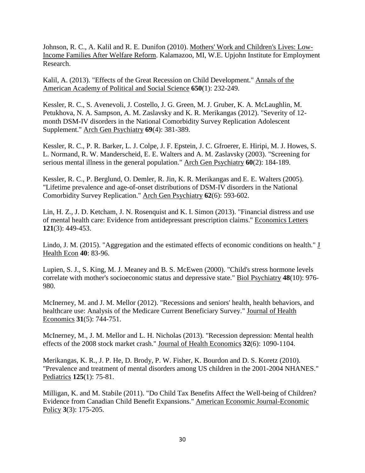Johnson, R. C., A. Kalil and R. E. Dunifon (2010). Mothers' Work and Children's Lives: Low-Income Families After Welfare Reform. Kalamazoo, MI, W.E. Upjohn Institute for Employment Research.

Kalil, A. (2013). "Effects of the Great Recession on Child Development." Annals of the American Academy of Political and Social Science **650**(1): 232-249.

Kessler, R. C., S. Avenevoli, J. Costello, J. G. Green, M. J. Gruber, K. A. McLaughlin, M. Petukhova, N. A. Sampson, A. M. Zaslavsky and K. R. Merikangas (2012). "Severity of 12 month DSM-IV disorders in the National Comorbidity Survey Replication Adolescent Supplement." Arch Gen Psychiatry **69**(4): 381-389.

Kessler, R. C., P. R. Barker, L. J. Colpe, J. F. Epstein, J. C. Gfroerer, E. Hiripi, M. J. Howes, S. L. Normand, R. W. Manderscheid, E. E. Walters and A. M. Zaslavsky (2003). "Screening for serious mental illness in the general population." Arch Gen Psychiatry **60**(2): 184-189.

Kessler, R. C., P. Berglund, O. Demler, R. Jin, K. R. Merikangas and E. E. Walters (2005). "Lifetime prevalence and age-of-onset distributions of DSM-IV disorders in the National Comorbidity Survey Replication." Arch Gen Psychiatry **62**(6): 593-602.

Lin, H. Z., J. D. Ketcham, J. N. Rosenquist and K. I. Simon (2013). "Financial distress and use of mental health care: Evidence from antidepressant prescription claims." Economics Letters **121**(3): 449-453.

Lindo, J. M. (2015). "Aggregation and the estimated effects of economic conditions on health." J Health Econ **40**: 83-96.

Lupien, S. J., S. King, M. J. Meaney and B. S. McEwen (2000). "Child's stress hormone levels correlate with mother's socioeconomic status and depressive state." Biol Psychiatry **48**(10): 976- 980.

McInerney, M. and J. M. Mellor (2012). "Recessions and seniors' health, health behaviors, and healthcare use: Analysis of the Medicare Current Beneficiary Survey." Journal of Health Economics **31**(5): 744-751.

McInerney, M., J. M. Mellor and L. H. Nicholas (2013). "Recession depression: Mental health effects of the 2008 stock market crash." Journal of Health Economics **32**(6): 1090-1104.

Merikangas, K. R., J. P. He, D. Brody, P. W. Fisher, K. Bourdon and D. S. Koretz (2010). "Prevalence and treatment of mental disorders among US children in the 2001-2004 NHANES." Pediatrics **125**(1): 75-81.

Milligan, K. and M. Stabile (2011). "Do Child Tax Benefits Affect the Well-being of Children? Evidence from Canadian Child Benefit Expansions." American Economic Journal-Economic Policy **3**(3): 175-205.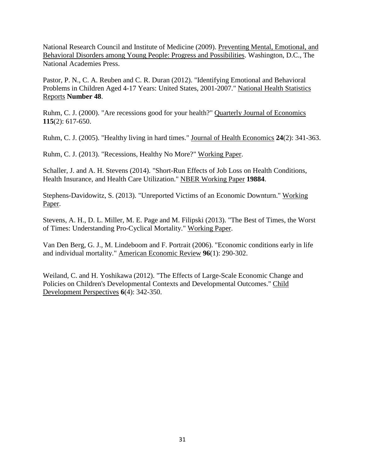National Research Council and Institute of Medicine (2009). Preventing Mental, Emotional, and Behavioral Disorders among Young People: Progress and Possibilities. Washington, D.C., The National Academies Press.

Pastor, P. N., C. A. Reuben and C. R. Duran (2012). "Identifying Emotional and Behavioral Problems in Children Aged 4-17 Years: United States, 2001-2007." National Health Statistics Reports **Number 48**.

Ruhm, C. J. (2000). "Are recessions good for your health?" Quarterly Journal of Economics **115**(2): 617-650.

Ruhm, C. J. (2005). "Healthy living in hard times." Journal of Health Economics **24**(2): 341-363.

Ruhm, C. J. (2013). "Recessions, Healthy No More?" Working Paper.

Schaller, J. and A. H. Stevens (2014). "Short-Run Effects of Job Loss on Health Conditions, Health Insurance, and Health Care Utilization." NBER Working Paper **19884**.

Stephens-Davidowitz, S. (2013). "Unreported Victims of an Economic Downturn." Working Paper.

Stevens, A. H., D. L. Miller, M. E. Page and M. Filipski (2013). "The Best of Times, the Worst of Times: Understanding Pro-Cyclical Mortality." Working Paper.

Van Den Berg, G. J., M. Lindeboom and F. Portrait (2006). "Economic conditions early in life and individual mortality." American Economic Review **96**(1): 290-302.

Weiland, C. and H. Yoshikawa (2012). "The Effects of Large-Scale Economic Change and Policies on Children's Developmental Contexts and Developmental Outcomes." Child Development Perspectives **6**(4): 342-350.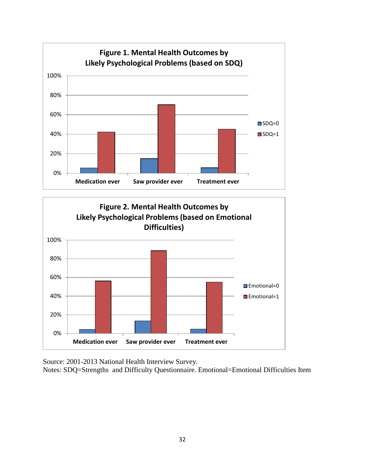



Source: 2001-2013 National Health Interview Survey.

Notes: SDQ=Strengths and Difficulty Questionnaire. Emotional=Emotional Difficulties Item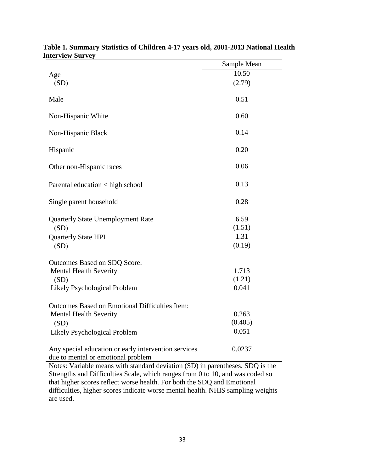|                                                                                                                                                                             | Sample Mean |
|-----------------------------------------------------------------------------------------------------------------------------------------------------------------------------|-------------|
| Age                                                                                                                                                                         | 10.50       |
| (SD)                                                                                                                                                                        | (2.79)      |
| Male                                                                                                                                                                        | 0.51        |
| Non-Hispanic White                                                                                                                                                          | 0.60        |
| Non-Hispanic Black                                                                                                                                                          | 0.14        |
| Hispanic                                                                                                                                                                    | 0.20        |
| Other non-Hispanic races                                                                                                                                                    | 0.06        |
| Parental education < high school                                                                                                                                            | 0.13        |
| Single parent household                                                                                                                                                     | 0.28        |
| <b>Quarterly State Unemployment Rate</b>                                                                                                                                    | 6.59        |
| (SD)                                                                                                                                                                        | (1.51)      |
| Quarterly State HPI                                                                                                                                                         | 1.31        |
| (SD)                                                                                                                                                                        | (0.19)      |
| Outcomes Based on SDQ Score:                                                                                                                                                |             |
| <b>Mental Health Severity</b>                                                                                                                                               | 1.713       |
| (SD)                                                                                                                                                                        | (1.21)      |
| Likely Psychological Problem                                                                                                                                                | 0.041       |
| Outcomes Based on Emotional Difficulties Item:                                                                                                                              |             |
| <b>Mental Health Severity</b>                                                                                                                                               | 0.263       |
| (SD)                                                                                                                                                                        | (0.405)     |
| Likely Psychological Problem                                                                                                                                                | 0.051       |
| Any special education or early intervention services<br>due to mental or emotional problem<br>Notes: Variable means with standard deviation (SD) in parentheses. SDO is the | 0.0237      |

| Table 1. Summary Statistics of Children 4-17 years old, 2001-2013 National Health |  |  |  |
|-----------------------------------------------------------------------------------|--|--|--|
| <b>Interview Survey</b>                                                           |  |  |  |

Notes: Variable means with standard deviation (SD) in parentheses. SDQ is the Strengths and Difficulties Scale, which ranges from 0 to 10, and was coded so that higher scores reflect worse health. For both the SDQ and Emotional difficulties, higher scores indicate worse mental health. NHIS sampling weights are used.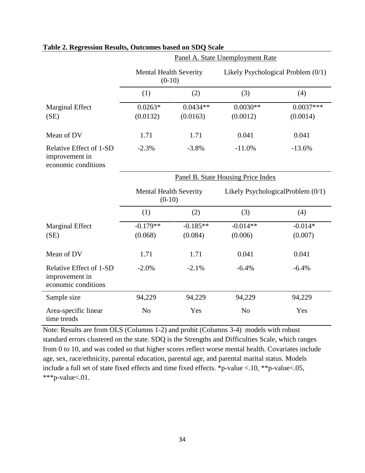|                                                                  | Panel A. State Unemployment Rate          |                                           |                |                                    |  |  |  |
|------------------------------------------------------------------|-------------------------------------------|-------------------------------------------|----------------|------------------------------------|--|--|--|
|                                                                  | <b>Mental Health Severity</b><br>$(0-10)$ |                                           |                | Likely Psychological Problem (0/1) |  |  |  |
|                                                                  | (1)                                       | (2)                                       | (3)            | (4)                                |  |  |  |
| <b>Marginal Effect</b>                                           | $0.0263*$                                 | $0.0434**$                                | $0.0030**$     | $0.0037***$                        |  |  |  |
| (SE)                                                             | (0.0132)                                  | (0.0163)                                  | (0.0012)       | (0.0014)                           |  |  |  |
| Mean of DV                                                       | 1.71                                      | 1.71                                      | 0.041          | 0.041                              |  |  |  |
| Relative Effect of 1-SD<br>improvement in<br>economic conditions | $-2.3%$                                   | $-3.8%$                                   | $-11.0%$       | $-13.6%$                           |  |  |  |
|                                                                  | Panel B. State Housing Price Index        |                                           |                |                                    |  |  |  |
|                                                                  |                                           | <b>Mental Health Severity</b><br>$(0-10)$ |                | Likely PsychologicalProblem (0/1)  |  |  |  |
|                                                                  | (1)                                       | (2)                                       | (3)            | (4)                                |  |  |  |
| <b>Marginal Effect</b>                                           | $-0.179**$                                | $-0.185**$                                | $-0.014**$     | $-0.014*$                          |  |  |  |
| (SE)                                                             | (0.068)                                   | (0.084)                                   | (0.006)        | (0.007)                            |  |  |  |
| Mean of DV                                                       | 1.71                                      | 1.71                                      | 0.041          | 0.041                              |  |  |  |
| Relative Effect of 1-SD<br>improvement in<br>economic conditions | $-2.0%$                                   | $-2.1%$                                   | $-6.4%$        | $-6.4%$                            |  |  |  |
| Sample size                                                      | 94,229                                    | 94,229                                    | 94,229         | 94,229                             |  |  |  |
| Area-specific linear<br>time trends                              | N <sub>o</sub>                            | Yes                                       | N <sub>o</sub> | Yes                                |  |  |  |

# **Table 2. Regression Results, Outcomes based on SDQ Scale**

Note: Results are from OLS (Columns 1-2) and probit (Columns 3-4) models with robust standard errors clustered on the state. SDQ is the Strengths and Difficulties Scale, which ranges from 0 to 10, and was coded so that higher scores reflect worse mental health. Covariates include age, sex, race/ethnicity, parental education, parental age, and parental marital status. Models include a full set of state fixed effects and time fixed effects. \*p-value <.10, \*\*p-value<.05, \*\*\*p-value<.01.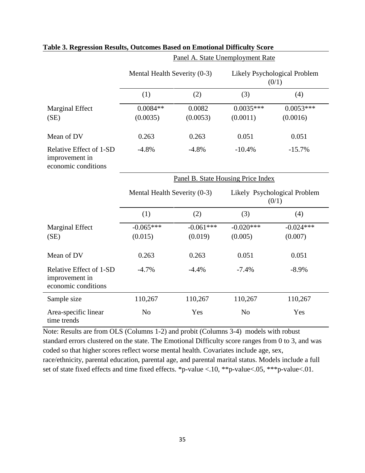|                                                                  | Mental Health Severity (0-3) |                                    |                                       | Likely Psychological Problem<br>(0/1) |  |
|------------------------------------------------------------------|------------------------------|------------------------------------|---------------------------------------|---------------------------------------|--|
|                                                                  | (1)                          | (2)                                | (3)                                   | (4)                                   |  |
| <b>Marginal Effect</b><br>(SE)                                   | $0.0084**$<br>(0.0035)       | 0.0082<br>(0.0053)                 | $0.0035***$<br>(0.0011)               | $0.0053***$<br>(0.0016)               |  |
| Mean of DV                                                       | 0.263                        | 0.263                              | 0.051                                 | 0.051                                 |  |
| Relative Effect of 1-SD<br>improvement in<br>economic conditions | $-4.8%$                      | $-4.8%$                            | $-10.4%$                              | $-15.7%$                              |  |
|                                                                  |                              | Panel B. State Housing Price Index |                                       |                                       |  |
|                                                                  | Mental Health Severity (0-3) |                                    | Likely Psychological Problem<br>(0/1) |                                       |  |
|                                                                  | (1)                          | (2)                                | (3)                                   | (4)                                   |  |
| <b>Marginal Effect</b><br>(SE)                                   | $-0.065***$<br>(0.015)       | $-0.061***$<br>(0.019)             | $-0.020***$<br>(0.005)                | $-0.024***$<br>(0.007)                |  |
| Mean of DV                                                       | 0.263                        | 0.263                              | 0.051                                 | 0.051                                 |  |
| Relative Effect of 1-SD<br>improvement in<br>economic conditions | $-4.7%$                      | $-4.4%$                            | $-7.4%$                               | $-8.9%$                               |  |
| Sample size                                                      | 110,267                      | 110,267                            | 110,267                               | 110,267                               |  |
| Area-specific linear<br>time trends                              | N <sub>o</sub>               | Yes                                | N <sub>o</sub>                        | Yes                                   |  |

Panel A. State Unemployment Rate

## **Table 3. Regression Results, Outcomes Based on Emotional Difficulty Score**

Note: Results are from OLS (Columns 1-2) and probit (Columns 3-4) models with robust standard errors clustered on the state. The Emotional Difficulty score ranges from 0 to 3, and was coded so that higher scores reflect worse mental health. Covariates include age, sex, race/ethnicity, parental education, parental age, and parental marital status. Models include a full set of state fixed effects and time fixed effects. \*p-value <.10, \*\*p-value <.05, \*\*\*p-value <.01.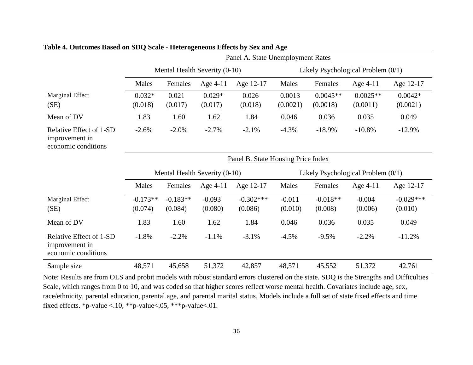|                                                                  | Panel A. State Unemployment Rates |            |            |                                    |                                      |            |                                      |             |
|------------------------------------------------------------------|-----------------------------------|------------|------------|------------------------------------|--------------------------------------|------------|--------------------------------------|-------------|
|                                                                  | Mental Health Severity (0-10)     |            |            |                                    | Likely Psychological Problem $(0/1)$ |            |                                      |             |
|                                                                  | Males                             | Females    | Age $4-11$ | Age 12-17                          | Males                                | Females    | Age 4-11                             | Age 12-17   |
| Marginal Effect                                                  | $0.032*$                          | 0.021      | $0.029*$   | 0.026                              | 0.0013                               | $0.0045**$ | $0.0025**$                           | $0.0042*$   |
| (SE)                                                             | (0.018)                           | (0.017)    | (0.017)    | (0.018)                            | (0.0021)                             | (0.0018)   | (0.0011)                             | (0.0021)    |
| Mean of DV                                                       | 1.83                              | 1.60       | 1.62       | 1.84                               | 0.046                                | 0.036      | 0.035                                | 0.049       |
| Relative Effect of 1-SD<br>improvement in<br>economic conditions | $-2.6%$                           | $-2.0\%$   | $-2.7%$    | $-2.1%$                            | $-4.3%$                              | $-18.9%$   | $-10.8%$                             | $-12.9%$    |
|                                                                  |                                   |            |            | Panel B. State Housing Price Index |                                      |            |                                      |             |
|                                                                  | Mental Health Severity (0-10)     |            |            |                                    |                                      |            |                                      |             |
|                                                                  |                                   |            |            |                                    |                                      |            | Likely Psychological Problem $(0/1)$ |             |
|                                                                  | Males                             | Females    | Age 4-11   | Age 12-17                          | Males                                | Females    | Age $4-11$                           | Age 12-17   |
| <b>Marginal Effect</b>                                           | $-0.173**$                        | $-0.183**$ | $-0.093$   | $-0.302***$                        | $-0.011$                             | $-0.018**$ | $-0.004$                             | $-0.029***$ |
| (SE)                                                             | (0.074)                           | (0.084)    | (0.080)    | (0.086)                            | (0.010)                              | (0.008)    | (0.006)                              | (0.010)     |
| Mean of DV                                                       | 1.83                              | 1.60       | 1.62       | 1.84                               | 0.046                                | 0.036      | 0.035                                | 0.049       |
| Relative Effect of 1-SD<br>improvement in<br>economic conditions | $-1.8%$                           | $-2.2%$    | $-1.1%$    | $-3.1%$                            | $-4.5%$                              | $-9.5%$    | $-2.2%$                              | $-11.2%$    |

# **Table 4. Outcomes Based on SDQ Scale - Heterogeneous Effects by Sex and Age**

Note: Results are from OLS and probit models with robust standard errors clustered on the state. SDQ is the Strengths and Difficulties Scale, which ranges from 0 to 10, and was coded so that higher scores reflect worse mental health. Covariates include age, sex, race/ethnicity, parental education, parental age, and parental marital status. Models include a full set of state fixed effects and time fixed effects. \*p-value <.10, \*\*p-value<.05, \*\*\*p-value<.01.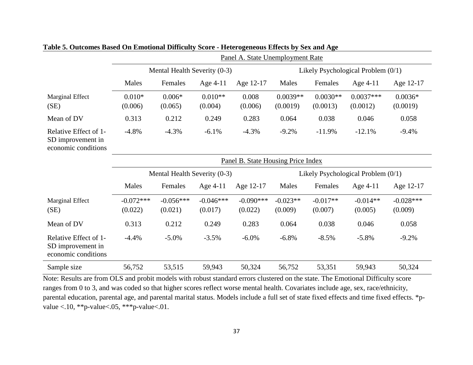|                                                                   | Panel A. State Unemployment Rate   |                        |                        |                        |                        |                                      |                                      |                        |
|-------------------------------------------------------------------|------------------------------------|------------------------|------------------------|------------------------|------------------------|--------------------------------------|--------------------------------------|------------------------|
|                                                                   | Mental Health Severity (0-3)       |                        |                        |                        |                        | Likely Psychological Problem $(0/1)$ |                                      |                        |
|                                                                   | Males                              | Females                | Age $4-11$             | Age 12-17              | Males                  | Females                              | Age 4-11                             | Age 12-17              |
| Marginal Effect<br>(SE)                                           | $0.010*$<br>(0.006)                | $0.006*$<br>(0.065)    | $0.010**$<br>(0.004)   | 0.008<br>(0.006)       | $0.0039**$<br>(0.0019) | $0.0030**$<br>(0.0013)               | $0.0037***$<br>(0.0012)              | $0.0036*$<br>(0.0019)  |
| Mean of DV                                                        | 0.313                              | 0.212                  | 0.249                  | 0.283                  | 0.064                  | 0.038                                | 0.046                                | 0.058                  |
| Relative Effect of 1-<br>SD improvement in<br>economic conditions | $-4.8%$                            | $-4.3%$                | $-6.1%$                | $-4.3%$                | $-9.2%$                | $-11.9%$                             | $-12.1%$                             | $-9.4%$                |
|                                                                   | Panel B. State Housing Price Index |                        |                        |                        |                        |                                      |                                      |                        |
|                                                                   | Mental Health Severity (0-3)       |                        |                        |                        |                        |                                      |                                      |                        |
|                                                                   |                                    |                        |                        |                        |                        |                                      | Likely Psychological Problem $(0/1)$ |                        |
|                                                                   | Males                              | Females                | Age $4-11$             | Age 12-17              | Males                  | Females                              | Age 4-11                             | Age 12-17              |
| Marginal Effect<br>(SE)                                           | $-0.072***$<br>(0.022)             | $-0.056***$<br>(0.021) | $-0.046***$<br>(0.017) | $-0.090***$<br>(0.022) | $-0.023**$<br>(0.009)  | $-0.017**$<br>(0.007)                | $-0.014**$<br>(0.005)                | $-0.028***$<br>(0.009) |
| Mean of DV                                                        | 0.313                              | 0.212                  | 0.249                  | 0.283                  | 0.064                  | 0.038                                | 0.046                                | 0.058                  |
| Relative Effect of 1-<br>SD improvement in<br>economic conditions | $-4.4%$                            | $-5.0\%$               | $-3.5%$                | $-6.0\%$               | $-6.8%$                | $-8.5%$                              | $-5.8%$                              | $-9.2%$                |

**Table 5. Outcomes Based On Emotional Difficulty Score - Heterogeneous Effects by Sex and Age**

Note: Results are from OLS and probit models with robust standard errors clustered on the state. The Emotional Difficulty score ranges from 0 to 3, and was coded so that higher scores reflect worse mental health. Covariates include age, sex, race/ethnicity, parental education, parental age, and parental marital status. Models include a full set of state fixed effects and time fixed effects. \*pvalue <.10, \*\*p-value <.05, \*\*\*p-value <.01.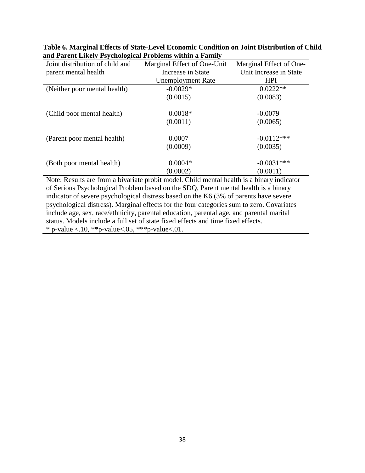| Joint distribution of child and                                                            | Marginal Effect of One-Unit | Marginal Effect of One- |  |
|--------------------------------------------------------------------------------------------|-----------------------------|-------------------------|--|
| parent mental health                                                                       | Increase in State           | Unit Increase in State  |  |
|                                                                                            | <b>Unemployment Rate</b>    | <b>HPI</b>              |  |
| (Neither poor mental health)                                                               | $-0.0029*$                  | $0.0222**$              |  |
|                                                                                            | (0.0015)                    | (0.0083)                |  |
| (Child poor mental health)                                                                 | $0.0018*$                   | $-0.0079$               |  |
|                                                                                            | (0.0011)                    | (0.0065)                |  |
| (Parent poor mental health)                                                                | 0.0007                      | $-0.0112***$            |  |
|                                                                                            | (0.0009)                    | (0.0035)                |  |
| (Both poor mental health)                                                                  | $0.0004*$                   | $-0.0031***$            |  |
|                                                                                            | (0.0002)                    | (0.0011)                |  |
| Note: Decults are from a hiverists mushit model. Child mental health is a hinery indicator |                             |                         |  |

**Table 6. Marginal Effects of State-Level Economic Condition on Joint Distribution of Child and Parent Likely Psychological Problems within a Family**

Note: Results are from a bivariate probit model. Child mental health is a binary indicator of Serious Psychological Problem based on the SDQ, Parent mental health is a binary indicator of severe psychological distress based on the K6 (3% of parents have severe psychological distress). Marginal effects for the four categories sum to zero. Covariates include age, sex, race/ethnicity, parental education, parental age, and parental marital status. Models include a full set of state fixed effects and time fixed effects. \* p-value <.10, \*\*p-value <.05, \*\*\*p-value <.01.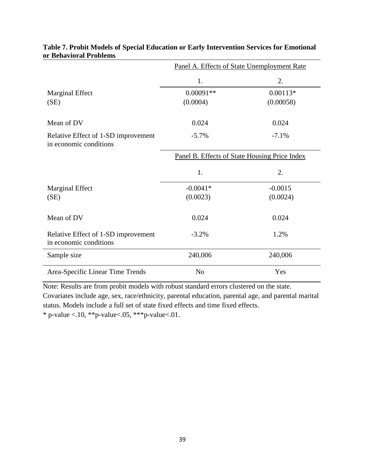|                                                               | Panel A. Effects of State Unemployment Rate   |            |  |  |  |
|---------------------------------------------------------------|-----------------------------------------------|------------|--|--|--|
|                                                               | 1.                                            | 2.         |  |  |  |
| <b>Marginal Effect</b>                                        | $0.00091**$                                   | $0.00113*$ |  |  |  |
| (SE)                                                          | (0.0004)                                      | (0.00058)  |  |  |  |
|                                                               |                                               |            |  |  |  |
| Mean of DV                                                    | 0.024                                         | 0.024      |  |  |  |
| Relative Effect of 1-SD improvement<br>in economic conditions | $-5.7\%$                                      | $-7.1%$    |  |  |  |
|                                                               | Panel B. Effects of State Housing Price Index |            |  |  |  |
|                                                               | 1.                                            | 2.         |  |  |  |
| <b>Marginal Effect</b>                                        | $-0.0041*$                                    | $-0.0015$  |  |  |  |
| (SE)                                                          | (0.0023)                                      | (0.0024)   |  |  |  |
|                                                               |                                               |            |  |  |  |
| Mean of DV                                                    | 0.024                                         | 0.024      |  |  |  |
| Relative Effect of 1-SD improvement<br>in economic conditions | $-3.2%$                                       | 1.2%       |  |  |  |
| Sample size                                                   | 240,006                                       | 240,006    |  |  |  |
| Area-Specific Linear Time Trends                              | N <sub>o</sub>                                | Yes        |  |  |  |

# **Table 7. Probit Models of Special Education or Early Intervention Services for Emotional or Behavioral Problems**

Note: Results are from probit models with robust standard errors clustered on the state.

Covariates include age, sex, race/ethnicity, parental education, parental age, and parental marital status. Models include a full set of state fixed effects and time fixed effects.

\* p-value <.10, \*\*p-value <.05, \*\*\*p-value <.01.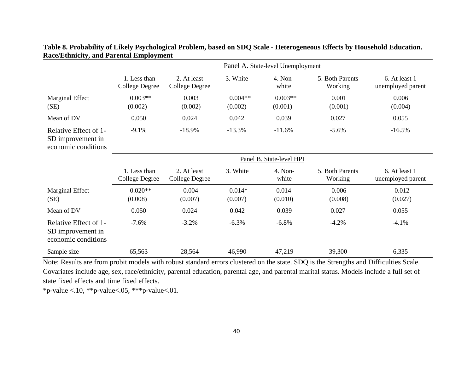|                                                                   | Panel A. State-level Unemployment     |                                      |                      |                          |                            |                                    |
|-------------------------------------------------------------------|---------------------------------------|--------------------------------------|----------------------|--------------------------|----------------------------|------------------------------------|
|                                                                   | 1. Less than<br><b>College Degree</b> | 2. At least<br><b>College Degree</b> | 3. White             | 4. Non-<br>white         | 5. Both Parents<br>Working | 6. At least 1<br>unemployed parent |
| Marginal Effect<br>(SE)                                           | $0.003**$<br>(0.002)                  | 0.003<br>(0.002)                     | $0.004**$<br>(0.002) | $0.003**$<br>(0.001)     | 0.001<br>(0.001)           | 0.006<br>(0.004)                   |
| Mean of DV                                                        | 0.050                                 | 0.024                                | 0.042                | 0.039                    | 0.027                      | 0.055                              |
| Relative Effect of 1-<br>SD improvement in<br>economic conditions | $-9.1%$                               | $-18.9%$                             | $-13.3%$             | $-11.6%$                 | $-5.6%$                    | $-16.5%$                           |
|                                                                   |                                       |                                      |                      | Panel B. State-level HPI |                            |                                    |
|                                                                   | 1. Less than<br>College Degree        | 2. At least<br>College Degree        | 3. White             | 4. Non-<br>white         | 5. Both Parents<br>Working | 6. At least 1<br>unemployed parent |
| Marginal Effect<br>(SE)                                           | $-0.020**$<br>(0.008)                 | $-0.004$<br>(0.007)                  | $-0.014*$<br>(0.007) | $-0.014$<br>(0.010)      | $-0.006$<br>(0.008)        | $-0.012$<br>(0.027)                |
| Mean of DV                                                        | 0.050                                 | 0.024                                | 0.042                | 0.039                    | 0.027                      | 0.055                              |
| Relative Effect of 1-<br>SD improvement in<br>economic conditions | $-7.6%$                               | $-3.2%$                              | $-6.3%$              | $-6.8\%$                 | $-4.2%$                    | $-4.1%$                            |
| Sample size                                                       | 65,563                                | 28,564                               | 46,990               | 47,219                   | 39,300                     | 6,335                              |

# **Table 8. Probability of Likely Psychological Problem, based on SDQ Scale - Heterogeneous Effects by Household Education. Race/Ethnicity, and Parental Employment**

Note: Results are from probit models with robust standard errors clustered on the state. SDQ is the Strengths and Difficulties Scale. Covariates include age, sex, race/ethnicity, parental education, parental age, and parental marital status. Models include a full set of state fixed effects and time fixed effects.

\*p-value <.10, \*\*p-value <.05, \*\*\*p-value <.01.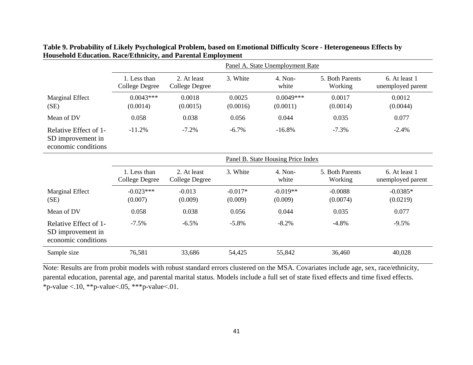|                                                                   | Panel A. State Unemployment Rate      |                               |                      |                                    |                            |                                    |
|-------------------------------------------------------------------|---------------------------------------|-------------------------------|----------------------|------------------------------------|----------------------------|------------------------------------|
|                                                                   | 1. Less than<br><b>College Degree</b> | 2. At least<br>College Degree | 3. White             | 4. Non-<br>white                   | 5. Both Parents<br>Working | 6. At least 1<br>unemployed parent |
| Marginal Effect<br>(SE)                                           | $0.0043***$<br>(0.0014)               | 0.0018<br>(0.0015)            | 0.0025<br>(0.0016)   | $0.0049***$<br>(0.0011)            | 0.0017<br>(0.0014)         | 0.0012<br>(0.0044)                 |
| Mean of DV                                                        | 0.058                                 | 0.038                         | 0.056                | 0.044                              | 0.035                      | 0.077                              |
| Relative Effect of 1-<br>SD improvement in<br>economic conditions | $-11.2%$                              | $-7.2%$                       | $-6.7%$              | $-16.8%$                           | $-7.3%$                    | $-2.4%$                            |
|                                                                   |                                       |                               |                      | Panel B. State Housing Price Index |                            |                                    |
|                                                                   | 1. Less than<br>College Degree        | 2. At least<br>College Degree | 3. White             | 4. Non-<br>white                   | 5. Both Parents<br>Working | 6. At least 1<br>unemployed parent |
| Marginal Effect<br>(SE)                                           | $-0.023***$<br>(0.007)                | $-0.013$<br>(0.009)           | $-0.017*$<br>(0.009) | $-0.019**$<br>(0.009)              | $-0.0088$<br>(0.0074)      | $-0.0385*$<br>(0.0219)             |
| Mean of DV                                                        | 0.058                                 | 0.038                         | 0.056                | 0.044                              | 0.035                      | 0.077                              |
| Relative Effect of 1-<br>SD improvement in<br>economic conditions | $-7.5%$                               | $-6.5\%$                      | $-5.8%$              | $-8.2%$                            | $-4.8%$                    | $-9.5%$                            |
| Sample size                                                       | 76,581                                | 33,686                        | 54,425               | 55,842                             | 36,460                     | 40,028                             |

**Table 9. Probability of Likely Psychological Problem, based on Emotional Difficulty Score - Heterogeneous Effects by Household Education. Race/Ethnicity, and Parental Employment**

Note: Results are from probit models with robust standard errors clustered on the MSA. Covariates include age, sex, race/ethnicity, parental education, parental age, and parental marital status. Models include a full set of state fixed effects and time fixed effects. \*p-value <.10, \*\*p-value <.05, \*\*\*p-value <.01.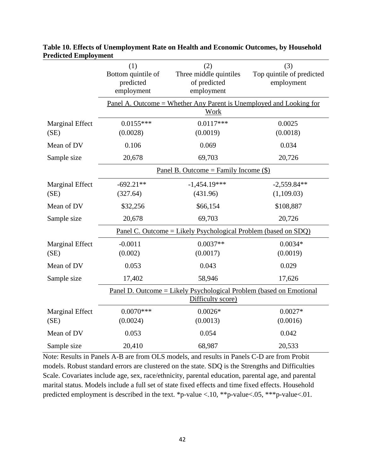|                                | (1)<br>Bottom quintile of<br>predicted<br>employment                                | (2)<br>Three middle quintiles<br>of predicted<br>employment                                      | (3)<br>Top quintile of predicted<br>employment |  |  |  |  |  |
|--------------------------------|-------------------------------------------------------------------------------------|--------------------------------------------------------------------------------------------------|------------------------------------------------|--|--|--|--|--|
|                                | <u> Panel A. Outcome = Whether Any Parent is Unemployed and Looking for</u><br>Work |                                                                                                  |                                                |  |  |  |  |  |
| <b>Marginal Effect</b><br>(SE) | $0.0155***$<br>(0.0028)                                                             | $0.0117***$<br>(0.0019)                                                                          | 0.0025<br>(0.0018)                             |  |  |  |  |  |
| Mean of DV                     | 0.106                                                                               | 0.069                                                                                            | 0.034                                          |  |  |  |  |  |
| Sample size                    | 20,678                                                                              | 69,703                                                                                           | 20,726                                         |  |  |  |  |  |
|                                |                                                                                     | Panel B. Outcome = Family Income $(\$)$                                                          |                                                |  |  |  |  |  |
| <b>Marginal Effect</b><br>(SE) | $-692.21**$<br>(327.64)                                                             | $-1,454.19***$<br>(431.96)                                                                       | $-2,559.84**$<br>(1,109.03)                    |  |  |  |  |  |
| Mean of DV                     | \$32,256                                                                            | \$66,154                                                                                         | \$108,887                                      |  |  |  |  |  |
| Sample size                    | 20,678                                                                              | 69,703                                                                                           | 20,726                                         |  |  |  |  |  |
|                                |                                                                                     | <u> Panel C. Outcome = Likely Psychological Problem (based on SDQ)</u>                           |                                                |  |  |  |  |  |
| <b>Marginal Effect</b><br>(SE) | $-0.0011$<br>(0.002)                                                                | $0.0037**$<br>(0.0017)                                                                           | $0.0034*$<br>(0.0019)                          |  |  |  |  |  |
| Mean of DV                     | 0.053                                                                               | 0.043                                                                                            | 0.029                                          |  |  |  |  |  |
| Sample size                    | 17,402                                                                              | 58,946                                                                                           | 17,626                                         |  |  |  |  |  |
|                                |                                                                                     | <u> Panel D. Outcome = Likely Psychological Problem (based on Emotional</u><br>Difficulty score) |                                                |  |  |  |  |  |
| <b>Marginal Effect</b>         | $0.0070***$                                                                         | $0.0026*$                                                                                        | $0.0027*$                                      |  |  |  |  |  |
| (SE)                           | (0.0024)                                                                            | (0.0013)                                                                                         | (0.0016)                                       |  |  |  |  |  |
| Mean of DV                     | 0.053                                                                               | 0.054                                                                                            | 0.042                                          |  |  |  |  |  |
| Sample size                    | 20,410                                                                              | 68,987                                                                                           | 20,533                                         |  |  |  |  |  |

**Table 10. Effects of Unemployment Rate on Health and Economic Outcomes, by Household Predicted Employment**

Note: Results in Panels A-B are from OLS models, and results in Panels C-D are from Probit models. Robust standard errors are clustered on the state. SDQ is the Strengths and Difficulties Scale. Covariates include age, sex, race/ethnicity, parental education, parental age, and parental marital status. Models include a full set of state fixed effects and time fixed effects. Household predicted employment is described in the text. \*p-value <.10, \*\*p-value <.05, \*\*\*p-value <.01.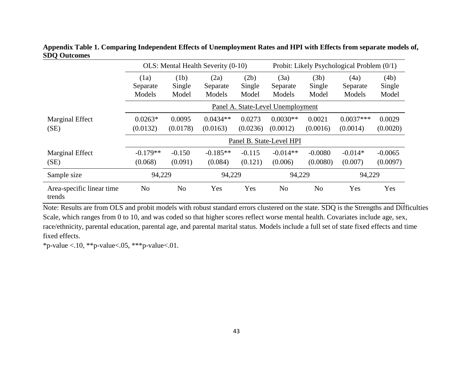|                                     | OLS: Mental Health Severity (0-10) |                         |                            |                         | Probit: Likely Psychological Problem (0/1) |                         |                            |                         |
|-------------------------------------|------------------------------------|-------------------------|----------------------------|-------------------------|--------------------------------------------|-------------------------|----------------------------|-------------------------|
|                                     | (1a)<br>Separate<br>Models         | (1b)<br>Single<br>Model | (2a)<br>Separate<br>Models | (2b)<br>Single<br>Model | (3a)<br>Separate<br>Models                 | (3b)<br>Single<br>Model | (4a)<br>Separate<br>Models | (4b)<br>Single<br>Model |
|                                     |                                    |                         |                            |                         | Panel A. State-Level Unemployment          |                         |                            |                         |
| Marginal Effect<br>(SE)             | $0.0263*$<br>(0.0132)              | 0.0095<br>(0.0178)      | $0.0434**$<br>(0.0163)     | 0.0273<br>(0.0236)      | $0.0030**$<br>(0.0012)                     | 0.0021<br>(0.0016)      | $0.0037***$<br>(0.0014)    | 0.0029<br>(0.0020)      |
|                                     |                                    |                         |                            |                         | Panel B. State-Level HPI                   |                         |                            |                         |
| Marginal Effect<br>(SE)             | $-0.179**$<br>(0.068)              | $-0.150$<br>(0.091)     | $-0.185**$<br>(0.084)      | $-0.115$<br>(0.121)     | $-0.014**$<br>(0.006)                      | $-0.0080$<br>(0.0080)   | $-0.014*$<br>(0.007)       | $-0.0065$<br>(0.0097)   |
| Sample size                         | 94,229                             |                         | 94,229                     |                         | 94,229                                     |                         | 94,229                     |                         |
| Area-specific linear time<br>trends | N <sub>o</sub>                     | N <sub>o</sub>          | Yes                        | Yes                     | N <sub>o</sub>                             | N <sub>o</sub>          | Yes                        | Yes                     |

**Appendix Table 1. Comparing Independent Effects of Unemployment Rates and HPI with Effects from separate models of, SDQ Outcomes** 

Note: Results are from OLS and probit models with robust standard errors clustered on the state. SDQ is the Strengths and Difficulties Scale, which ranges from 0 to 10, and was coded so that higher scores reflect worse mental health. Covariates include age, sex, race/ethnicity, parental education, parental age, and parental marital status. Models include a full set of state fixed effects and time fixed effects.

\*p-value <.10, \*\*p-value <.05, \*\*\*p-value <.01.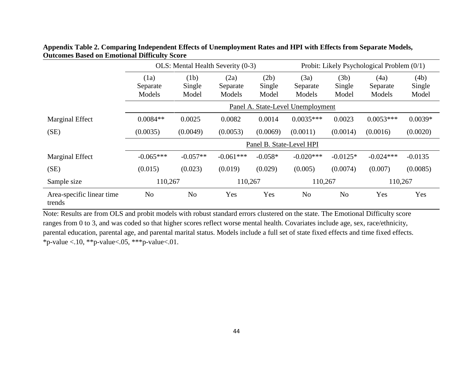|                                     | OLS: Mental Health Severity (0-3) |                         |                            | Probit: Likely Psychological Problem (0/1) |                            |                         |                            |                         |
|-------------------------------------|-----------------------------------|-------------------------|----------------------------|--------------------------------------------|----------------------------|-------------------------|----------------------------|-------------------------|
|                                     | (1a)<br>Separate<br>Models        | (1b)<br>Single<br>Model | (2a)<br>Separate<br>Models | (2b)<br>Single<br>Model                    | (3a)<br>Separate<br>Models | (3b)<br>Single<br>Model | (4a)<br>Separate<br>Models | (4b)<br>Single<br>Model |
|                                     | Panel A. State-Level Unemployment |                         |                            |                                            |                            |                         |                            |                         |
| <b>Marginal Effect</b>              | $0.0084**$                        | 0.0025                  | 0.0082                     | 0.0014                                     | $0.0035***$                | 0.0023                  | $0.0053***$                | $0.0039*$               |
| (SE)                                | (0.0035)                          | (0.0049)                | (0.0053)                   | (0.0069)                                   | (0.0011)                   | (0.0014)                | (0.0016)                   | (0.0020)                |
|                                     | Panel B. State-Level HPI          |                         |                            |                                            |                            |                         |                            |                         |
| Marginal Effect                     | $-0.065***$                       | $-0.057**$              | $-0.061***$                | $-0.058*$                                  | $-0.020***$                | $-0.0125*$              | $-0.024***$                | $-0.0135$               |
| (SE)                                | (0.015)                           | (0.023)                 | (0.019)                    | (0.029)                                    | (0.005)                    | (0.0074)                | (0.007)                    | (0.0085)                |
| Sample size                         | 110,267<br>110,267                |                         | 110,267                    |                                            | 110,267                    |                         |                            |                         |
| Area-specific linear time<br>trends | N <sub>o</sub>                    | N <sub>o</sub>          | Yes                        | Yes                                        | N <sub>o</sub>             | N <sub>o</sub>          | Yes                        | Yes                     |

**Appendix Table 2. Comparing Independent Effects of Unemployment Rates and HPI with Effects from Separate Models, Outcomes Based on Emotional Difficulty Score** 

Note: Results are from OLS and probit models with robust standard errors clustered on the state. The Emotional Difficulty score ranges from 0 to 3, and was coded so that higher scores reflect worse mental health. Covariates include age, sex, race/ethnicity, parental education, parental age, and parental marital status. Models include a full set of state fixed effects and time fixed effects. \*p-value <.10, \*\*p-value <.05, \*\*\*p-value <.01.